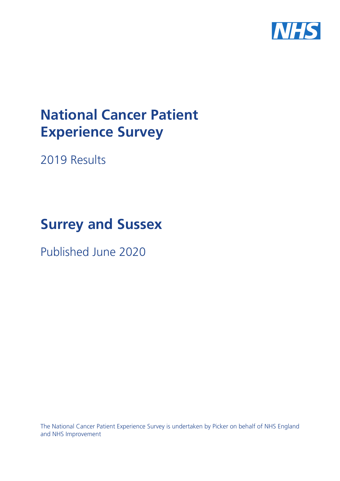

# **National Cancer Patient Experience Survey**

2019 Results

# **Surrey and Sussex**

Published June 2020

The National Cancer Patient Experience Survey is undertaken by Picker on behalf of NHS England and NHS Improvement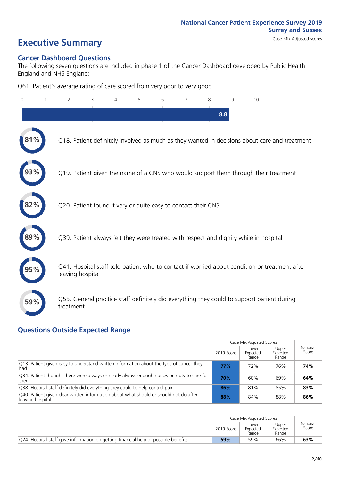## **Executive Summary** Case Mix Adjusted scores

### **Cancer Dashboard Questions**

The following seven questions are included in phase 1 of the Cancer Dashboard developed by Public Health England and NHS England:

Q61. Patient's average rating of care scored from very poor to very good

| $\Omega$ | 2                | 3                                                             | $\overline{4}$ | 5 | 6 | 7 | 8 | 9   | 10                                                                                            |  |
|----------|------------------|---------------------------------------------------------------|----------------|---|---|---|---|-----|-----------------------------------------------------------------------------------------------|--|
|          |                  |                                                               |                |   |   |   |   | 8.8 |                                                                                               |  |
| $1\%$    |                  |                                                               |                |   |   |   |   |     | Q18. Patient definitely involved as much as they wanted in decisions about care and treatment |  |
|          |                  |                                                               |                |   |   |   |   |     | Q19. Patient given the name of a CNS who would support them through their treatment           |  |
| 82%      |                  | Q20. Patient found it very or quite easy to contact their CNS |                |   |   |   |   |     |                                                                                               |  |
|          |                  |                                                               |                |   |   |   |   |     | Q39. Patient always felt they were treated with respect and dignity while in hospital         |  |
|          | leaving hospital |                                                               |                |   |   |   |   |     | Q41. Hospital staff told patient who to contact if worried about condition or treatment after |  |
| 59%      | treatment        |                                                               |                |   |   |   |   |     | Q55. General practice staff definitely did everything they could to support patient during    |  |

### **Questions Outside Expected Range**

|                                                                                                           |            | Case Mix Adjusted Scores   |                            |                   |
|-----------------------------------------------------------------------------------------------------------|------------|----------------------------|----------------------------|-------------------|
|                                                                                                           | 2019 Score | Lower<br>Expected<br>Range | Upper<br>Expected<br>Range | National<br>Score |
| [O13. Patient given easy to understand written information about the type of cancer they<br>had           | 77%        | 72%                        | 76%                        | 74%               |
| Q34. Patient thought there were always or nearly always enough nurses on duty to care for<br>them         | 70%        | 60%                        | 69%                        | 64%               |
| Q38. Hospital staff definitely did everything they could to help control pain                             | 86%        | 81%                        | 85%                        | 83%               |
| Q40. Patient given clear written information about what should or should not do after<br>leaving hospital | 88%        | 84%                        | 88%                        | 86%               |

|                                                                                     |            | Case Mix Adjusted Scores   |                            |                   |
|-------------------------------------------------------------------------------------|------------|----------------------------|----------------------------|-------------------|
|                                                                                     | 2019 Score | Lower<br>Expected<br>Range | Upper<br>Expected<br>Range | National<br>Score |
| Q24. Hospital staff gave information on getting financial help or possible benefits | 59%        | 59%                        | 66%                        | 63%               |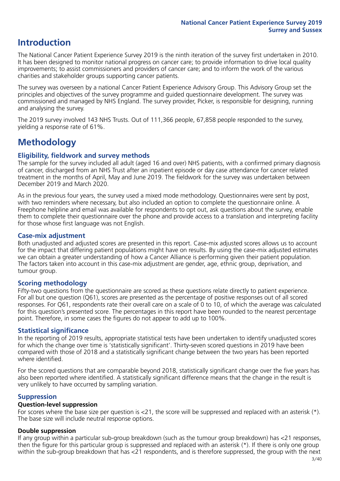### **Introduction**

The National Cancer Patient Experience Survey 2019 is the ninth iteration of the survey first undertaken in 2010. It has been designed to monitor national progress on cancer care; to provide information to drive local quality improvements; to assist commissioners and providers of cancer care; and to inform the work of the various charities and stakeholder groups supporting cancer patients.

The survey was overseen by a national Cancer Patient Experience Advisory Group. This Advisory Group set the principles and objectives of the survey programme and guided questionnaire development. The survey was commissioned and managed by NHS England. The survey provider, Picker, is responsible for designing, running and analysing the survey.

The 2019 survey involved 143 NHS Trusts. Out of 111,366 people, 67,858 people responded to the survey, yielding a response rate of 61%.

### **Methodology**

### **Eligibility, fieldwork and survey methods**

The sample for the survey included all adult (aged 16 and over) NHS patients, with a confirmed primary diagnosis of cancer, discharged from an NHS Trust after an inpatient episode or day case attendance for cancer related treatment in the months of April, May and June 2019. The fieldwork for the survey was undertaken between December 2019 and March 2020.

As in the previous four years, the survey used a mixed mode methodology. Questionnaires were sent by post, with two reminders where necessary, but also included an option to complete the questionnaire online. A Freephone helpline and email was available for respondents to opt out, ask questions about the survey, enable them to complete their questionnaire over the phone and provide access to a translation and interpreting facility for those whose first language was not English.

### **Case-mix adjustment**

Both unadjusted and adjusted scores are presented in this report. Case-mix adjusted scores allows us to account for the impact that differing patient populations might have on results. By using the case-mix adjusted estimates we can obtain a greater understanding of how a Cancer Alliance is performing given their patient population. The factors taken into account in this case-mix adjustment are gender, age, ethnic group, deprivation, and tumour group.

### **Scoring methodology**

Fifty-two questions from the questionnaire are scored as these questions relate directly to patient experience. For all but one question (Q61), scores are presented as the percentage of positive responses out of all scored responses. For Q61, respondents rate their overall care on a scale of 0 to 10, of which the average was calculated for this question's presented score. The percentages in this report have been rounded to the nearest percentage point. Therefore, in some cases the figures do not appear to add up to 100%.

### **Statistical significance**

In the reporting of 2019 results, appropriate statistical tests have been undertaken to identify unadjusted scores for which the change over time is 'statistically significant'. Thirty-seven scored questions in 2019 have been compared with those of 2018 and a statistically significant change between the two years has been reported where identified.

For the scored questions that are comparable beyond 2018, statistically significant change over the five years has also been reported where identified. A statistically significant difference means that the change in the result is very unlikely to have occurred by sampling variation.

### **Suppression**

### **Question-level suppression**

For scores where the base size per question is  $<$ 21, the score will be suppressed and replaced with an asterisk (\*). The base size will include neutral response options.

#### **Double suppression**

If any group within a particular sub-group breakdown (such as the tumour group breakdown) has <21 responses, then the figure for this particular group is suppressed and replaced with an asterisk (\*). If there is only one group within the sub-group breakdown that has <21 respondents, and is therefore suppressed, the group with the next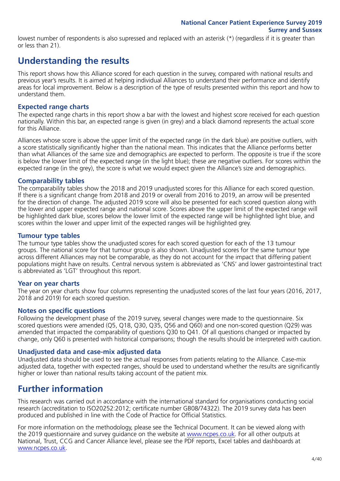lowest number of respondents is also supressed and replaced with an asterisk (\*) (regardless if it is greater than or less than 21).

### **Understanding the results**

This report shows how this Alliance scored for each question in the survey, compared with national results and previous year's results. It is aimed at helping individual Alliances to understand their performance and identify areas for local improvement. Below is a description of the type of results presented within this report and how to understand them.

### **Expected range charts**

The expected range charts in this report show a bar with the lowest and highest score received for each question nationally. Within this bar, an expected range is given (in grey) and a black diamond represents the actual score for this Alliance.

Alliances whose score is above the upper limit of the expected range (in the dark blue) are positive outliers, with a score statistically significantly higher than the national mean. This indicates that the Alliance performs better than what Alliances of the same size and demographics are expected to perform. The opposite is true if the score is below the lower limit of the expected range (in the light blue); these are negative outliers. For scores within the expected range (in the grey), the score is what we would expect given the Alliance's size and demographics.

### **Comparability tables**

The comparability tables show the 2018 and 2019 unadjusted scores for this Alliance for each scored question. If there is a significant change from 2018 and 2019 or overall from 2016 to 2019, an arrow will be presented for the direction of change. The adjusted 2019 score will also be presented for each scored question along with the lower and upper expected range and national score. Scores above the upper limit of the expected range will be highlighted dark blue, scores below the lower limit of the expected range will be highlighted light blue, and scores within the lower and upper limit of the expected ranges will be highlighted grey.

### **Tumour type tables**

The tumour type tables show the unadjusted scores for each scored question for each of the 13 tumour groups. The national score for that tumour group is also shown. Unadjusted scores for the same tumour type across different Alliances may not be comparable, as they do not account for the impact that differing patient populations might have on results. Central nervous system is abbreviated as 'CNS' and lower gastrointestinal tract is abbreviated as 'LGT' throughout this report.

### **Year on year charts**

The year on year charts show four columns representing the unadjusted scores of the last four years (2016, 2017, 2018 and 2019) for each scored question.

### **Notes on specific questions**

Following the development phase of the 2019 survey, several changes were made to the questionnaire. Six scored questions were amended (Q5, Q18, Q30, Q35, Q56 and Q60) and one non-scored question (Q29) was amended that impacted the comparability of questions Q30 to Q41. Of all questions changed or impacted by change, only Q60 is presented with historical comparisons; though the results should be interpreted with caution.

### **Unadjusted data and case-mix adjusted data**

Unadjusted data should be used to see the actual responses from patients relating to the Alliance. Case-mix adjusted data, together with expected ranges, should be used to understand whether the results are significantly higher or lower than national results taking account of the patient mix.

### **Further information**

This research was carried out in accordance with the international standard for organisations conducting social research (accreditation to ISO20252:2012; certificate number GB08/74322). The 2019 survey data has been produced and published in line with the Code of Practice for Official Statistics.

For more information on the methodology, please see the Technical Document. It can be viewed along with the 2019 questionnaire and survey guidance on the website at [www.ncpes.co.uk](https://www.ncpes.co.uk/supporting-documents). For all other outputs at National, Trust, CCG and Cancer Alliance level, please see the PDF reports, Excel tables and dashboards at [www.ncpes.co.uk.](https://www.ncpes.co.uk/current-results)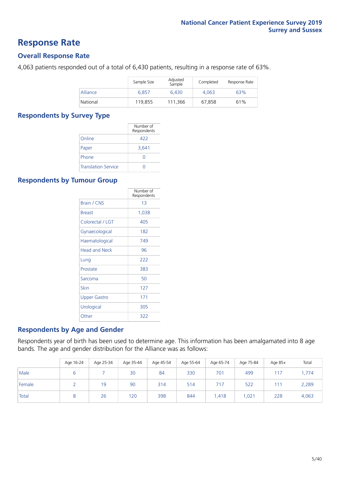### **Response Rate**

### **Overall Response Rate**

4,063 patients responded out of a total of 6,430 patients, resulting in a response rate of 63%.

|          | Sample Size | Adjusted<br>Sample | Completed | Response Rate |
|----------|-------------|--------------------|-----------|---------------|
| Alliance | 6.857       | 6.430              | 4.063     | 63%           |
| National | 119,855     | 111.366            | 67.858    | 61%           |

### **Respondents by Survey Type**

|                            | Number of<br>Respondents |
|----------------------------|--------------------------|
| Online                     | 422                      |
| Paper                      | 3.641                    |
| Phone                      |                          |
| <b>Translation Service</b> |                          |

### **Respondents by Tumour Group**

|                      | Number of<br>Respondents |
|----------------------|--------------------------|
| <b>Brain / CNS</b>   | 13                       |
| <b>Breast</b>        | 1,038                    |
| Colorectal / LGT     | 405                      |
| Gynaecological       | 182                      |
| Haematological       | 749                      |
| <b>Head and Neck</b> | 96                       |
| Lung                 | 222                      |
| Prostate             | 383                      |
| Sarcoma              | 50                       |
| Skin                 | 127                      |
| Upper Gastro         | 171                      |
| Urological           | 305                      |
| Other                | 322                      |

### **Respondents by Age and Gender**

Respondents year of birth has been used to determine age. This information has been amalgamated into 8 age bands. The age and gender distribution for the Alliance was as follows:

|        | Age 16-24 | Age 25-34 | Age 35-44 | Age 45-54 | Age 55-64 | Age 65-74 | Age 75-84 | Age 85+ | Total |
|--------|-----------|-----------|-----------|-----------|-----------|-----------|-----------|---------|-------|
| Male   |           |           | 30        | 84        | 330       | 701       | 499       | 117     | 1,774 |
| Female |           | 19        | 90        | 314       | 514       | 717       | 522       | 111     | 2,289 |
| Total  |           | 26        | 120       | 398       | 844       | ,418      | 021,،     | 228     | 4,063 |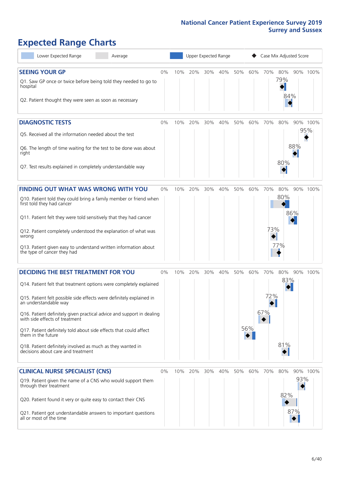## **Expected Range Charts**

| Lower Expected Range                                                                                    | Average |    |     |     |     | Upper Expected Range |     |     | Case Mix Adjusted Score |     |     |          |
|---------------------------------------------------------------------------------------------------------|---------|----|-----|-----|-----|----------------------|-----|-----|-------------------------|-----|-----|----------|
| <b>SEEING YOUR GP</b>                                                                                   |         | 0% | 10% | 20% | 30% | 40%                  | 50% | 60% | 70%                     | 80% |     | 90% 100% |
| Q1. Saw GP once or twice before being told they needed to go to<br>hospital                             |         |    |     |     |     |                      |     |     |                         | 79% |     |          |
| Q2. Patient thought they were seen as soon as necessary                                                 |         |    |     |     |     |                      |     |     |                         | 84% |     |          |
| <b>DIAGNOSTIC TESTS</b>                                                                                 |         | 0% | 10% | 20% | 30% | 40%                  | 50% | 60% | 70% 80%                 |     |     | 90% 100% |
| Q5. Received all the information needed about the test                                                  |         |    |     |     |     |                      |     |     |                         |     |     | 95%      |
| Q6. The length of time waiting for the test to be done was about<br>right                               |         |    |     |     |     |                      |     |     |                         | 80% | 88% |          |
| Q7. Test results explained in completely understandable way                                             |         |    |     |     |     |                      |     |     |                         |     |     |          |
| <b>FINDING OUT WHAT WAS WRONG WITH YOU</b>                                                              |         | 0% | 10% | 20% | 30% | 40%                  | 50% | 60% | 70%                     | 80% |     | 90% 100% |
| Q10. Patient told they could bring a family member or friend when<br>first told they had cancer         |         |    |     |     |     |                      |     |     |                         | 80% |     |          |
| Q11. Patient felt they were told sensitively that they had cancer                                       |         |    |     |     |     |                      |     |     |                         |     | 86% |          |
| Q12. Patient completely understood the explanation of what was<br>wrong                                 |         |    |     |     |     |                      |     |     | 73%                     |     |     |          |
| Q13. Patient given easy to understand written information about<br>the type of cancer they had          |         |    |     |     |     |                      |     |     |                         | 77% |     |          |
| <b>DECIDING THE BEST TREATMENT FOR YOU</b>                                                              |         | 0% | 10% | 20% | 30% | 40%                  | 50% | 60% | 70%                     | 80% |     | 90% 100% |
| Q14. Patient felt that treatment options were completely explained                                      |         |    |     |     |     |                      |     |     |                         | 83% |     |          |
| Q15. Patient felt possible side effects were definitely explained in<br>an understandable way           |         |    |     |     |     |                      |     |     | 72%                     |     |     |          |
| Q16. Patient definitely given practical advice and support in dealing<br>with side effects of treatment |         |    |     |     |     |                      |     |     | 67%                     |     |     |          |
| Q17. Patient definitely told about side effects that could affect<br>them in the future                 |         |    |     |     |     |                      |     | 56% |                         |     |     |          |
| Q18. Patient definitely involved as much as they wanted in<br>decisions about care and treatment        |         |    |     |     |     |                      |     |     |                         | 81% |     |          |
| <b>CLINICAL NURSE SPECIALIST (CNS)</b>                                                                  |         | 0% | 10% | 20% | 30% | 40%                  | 50% | 60% | 70%                     | 80% |     | 90% 100% |
| Q19. Patient given the name of a CNS who would support them<br>through their treatment                  |         |    |     |     |     |                      |     |     |                         |     | 93% |          |
| Q20. Patient found it very or quite easy to contact their CNS                                           |         |    |     |     |     |                      |     |     |                         | 82% |     |          |
| Q21. Patient got understandable answers to important questions<br>all or most of the time               |         |    |     |     |     |                      |     |     |                         |     | 87% |          |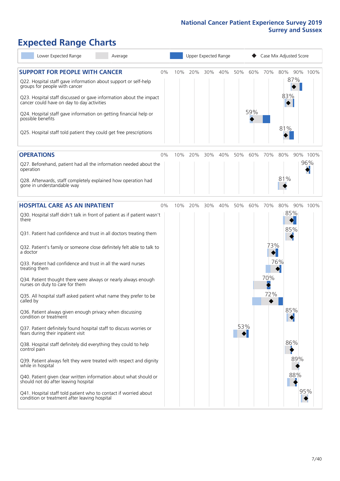## **Expected Range Charts**

| Lower Expected Range<br>Average                                                                                                                                                                                                                                                                                                                         |    |     |         |     | Upper Expected Range |                        |            |                        | Case Mix Adjusted Score  |          |
|---------------------------------------------------------------------------------------------------------------------------------------------------------------------------------------------------------------------------------------------------------------------------------------------------------------------------------------------------------|----|-----|---------|-----|----------------------|------------------------|------------|------------------------|--------------------------|----------|
| <b>SUPPORT FOR PEOPLE WITH CANCER</b><br>Q22. Hospital staff gave information about support or self-help<br>groups for people with cancer<br>Q23. Hospital staff discussed or gave information about the impact<br>cancer could have on day to day activities<br>Q24. Hospital staff gave information on getting financial help or<br>possible benefits | 0% | 10% | 20%     | 30% | 40%                  | 50%                    | 60%<br>59% | 70%                    | 80%<br>87%<br>83%<br>81% | 90% 100% |
| Q25. Hospital staff told patient they could get free prescriptions                                                                                                                                                                                                                                                                                      |    |     |         |     |                      |                        |            |                        |                          |          |
| <b>OPERATIONS</b>                                                                                                                                                                                                                                                                                                                                       | 0% | 10% | 20%     | 30% | 40%                  | 50%                    | 60%        | 70%                    | 80%                      | 90% 100% |
| Q27. Beforehand, patient had all the information needed about the<br>operation                                                                                                                                                                                                                                                                          |    |     |         |     |                      |                        |            |                        |                          | 96%      |
| Q28. Afterwards, staff completely explained how operation had<br>gone in understandable way                                                                                                                                                                                                                                                             |    |     |         |     |                      |                        |            |                        | 81%                      |          |
| <b>HOSPITAL CARE AS AN INPATIENT</b>                                                                                                                                                                                                                                                                                                                    | 0% |     | 10% 20% | 30% | 40%                  | 50%                    | 60%        | 70%                    | 80%                      | 90% 100% |
| Q30. Hospital staff didn't talk in front of patient as if patient wasn't<br>there                                                                                                                                                                                                                                                                       |    |     |         |     |                      |                        |            |                        | 85%                      |          |
| Q31. Patient had confidence and trust in all doctors treating them                                                                                                                                                                                                                                                                                      |    |     |         |     |                      |                        |            |                        | 85%                      |          |
| Q32. Patient's family or someone close definitely felt able to talk to<br>a doctor                                                                                                                                                                                                                                                                      |    |     |         |     |                      |                        |            | 73%<br>$\blacklozenge$ |                          |          |
| Q33. Patient had confidence and trust in all the ward nurses<br>treating them                                                                                                                                                                                                                                                                           |    |     |         |     |                      |                        |            |                        | 76%                      |          |
| Q34. Patient thought there were always or nearly always enough<br>nurses on duty to care for them                                                                                                                                                                                                                                                       |    |     |         |     |                      |                        |            | 70%                    |                          |          |
| Q35. All hospital staff asked patient what name they prefer to be<br>called by                                                                                                                                                                                                                                                                          |    |     |         |     |                      |                        |            | 72%                    |                          |          |
| Q36. Patient always given enough privacy when discussing<br>condition or treatment                                                                                                                                                                                                                                                                      |    |     |         |     |                      |                        |            |                        | 85%<br>$\blacklozenge$   |          |
| Q37. Patient definitely found hospital staff to discuss worries or<br>fears during their inpatient visit                                                                                                                                                                                                                                                |    |     |         |     |                      | 53%<br>$\blacklozenge$ |            |                        |                          |          |
| Q38. Hospital staff definitely did everything they could to help<br>control pain                                                                                                                                                                                                                                                                        |    |     |         |     |                      |                        |            |                        | 86%                      |          |
| Q39. Patient always felt they were treated with respect and dignity<br>while in hospital                                                                                                                                                                                                                                                                |    |     |         |     |                      |                        |            |                        | 89%                      |          |
| Q40. Patient given clear written information about what should or<br>should not do after leaving hospital                                                                                                                                                                                                                                               |    |     |         |     |                      |                        |            |                        | 88%                      |          |
| Q41. Hospital staff told patient who to contact if worried about<br>condition or treatment after leaving hospital                                                                                                                                                                                                                                       |    |     |         |     |                      |                        |            |                        |                          | 95%      |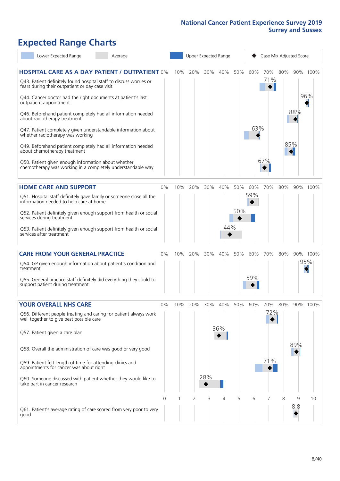## **Expected Range Charts**

|           | Lower Expected Range                                                                                                  | Average                                                             |    |     |         |     | Upper Expected Range |     |     | Case Mix Adjusted Score |     |     |          |
|-----------|-----------------------------------------------------------------------------------------------------------------------|---------------------------------------------------------------------|----|-----|---------|-----|----------------------|-----|-----|-------------------------|-----|-----|----------|
|           |                                                                                                                       | <b>HOSPITAL CARE AS A DAY PATIENT / OUTPATIENT 0%</b>               |    | 10% | 20%     | 30% | 40%                  | 50% | 60% | 70%                     | 80% |     | 90% 100% |
|           | Q43. Patient definitely found hospital staff to discuss worries or<br>fears during their outpatient or day case visit |                                                                     |    |     |         |     |                      |     |     | 71%                     |     |     |          |
|           | Q44. Cancer doctor had the right documents at patient's last<br>outpatient appointment                                |                                                                     |    |     |         |     |                      |     |     |                         |     |     | 96%      |
|           | Q46. Beforehand patient completely had all information needed<br>about radiotherapy treatment                         |                                                                     |    |     |         |     |                      |     |     |                         |     | 88% |          |
|           | Q47. Patient completely given understandable information about<br>whether radiotherapy was working                    |                                                                     |    |     |         |     |                      |     | 63% |                         |     |     |          |
|           | Q49. Beforehand patient completely had all information needed<br>about chemotherapy treatment                         |                                                                     |    |     |         |     |                      |     |     |                         |     | 85% |          |
|           | Q50. Patient given enough information about whether<br>chemotherapy was working in a completely understandable way    |                                                                     |    |     |         |     |                      |     |     | 67%                     |     |     |          |
|           | <b>HOME CARE AND SUPPORT</b>                                                                                          |                                                                     | 0% | 10% | 20%     | 30% | 40%                  | 50% | 60% | 70%                     | 80% |     | 90% 100% |
|           | Q51. Hospital staff definitely gave family or someone close all the<br>information needed to help care at home        |                                                                     |    |     |         |     |                      |     | 59% |                         |     |     |          |
|           | services during treatment                                                                                             | Q52. Patient definitely given enough support from health or social  |    |     |         |     |                      | 50% |     |                         |     |     |          |
|           | services after treatment                                                                                              | Q53. Patient definitely given enough support from health or social  |    |     |         |     | 44%                  |     |     |                         |     |     |          |
|           | <b>CARE FROM YOUR GENERAL PRACTICE</b>                                                                                |                                                                     | 0% |     | 10% 20% | 30% | 40%                  | 50% | 60% | 70%                     | 80% |     | 90% 100% |
| treatment | Q54. GP given enough information about patient's condition and                                                        |                                                                     |    |     |         |     |                      |     |     |                         |     |     | 95%      |
|           | Q55. General practice staff definitely did everything they could to<br>support patient during treatment               |                                                                     |    |     |         |     |                      |     | 59% |                         |     |     |          |
|           | <b>YOUR OVERALL NHS CARE</b>                                                                                          |                                                                     | 0% | 10% | 20%     | 30% | 40%                  | 50% | 60% | 70%                     | 80% |     | 90% 100% |
|           | well together to give best possible care                                                                              | Q56. Different people treating and caring for patient always work   |    |     |         |     |                      |     |     | 72%                     |     |     |          |
|           |                                                                                                                       |                                                                     |    |     |         |     | 36%                  |     |     |                         |     |     |          |
|           | Q57. Patient given a care plan                                                                                        |                                                                     |    |     |         |     |                      |     |     |                         |     |     |          |
|           | Q58. Overall the administration of care was good or very good                                                         |                                                                     |    |     |         |     |                      |     |     |                         |     | 89% |          |
|           | Q59. Patient felt length of time for attending clinics and<br>appointments for cancer was about right                 |                                                                     |    |     |         |     |                      |     |     | 71%                     |     |     |          |
|           | Q60. Someone discussed with patient whether they would like to<br>take part in cancer research                        |                                                                     |    |     |         | 28% |                      |     |     |                         |     |     |          |
|           |                                                                                                                       |                                                                     | 0  |     | 2       | 3   | 4                    | 5   | 6   | 7                       | 8   | 9   | 10       |
| good      |                                                                                                                       | Q61. Patient's average rating of care scored from very poor to very |    |     |         |     |                      |     |     |                         |     | 8.8 |          |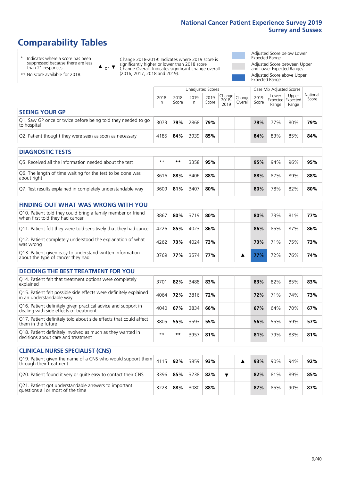## **Comparability Tables**

\* Indicates where a score has been suppressed because there are less than 21 responses.

\*\* No score available for 2018.

 $\triangle$  or  $\nabla$ 

Change 2018-2019: Indicates where 2019 score is significantly higher or lower than 2018 score Change Overall: Indicates significant change overall (2016, 2017, 2018 and 2019).

Adjusted Score below Lower Expected Range Adjusted Score between Upper and Lower Expected Ranges Adjusted Score above Upper

Expected Range

|                                                                             |           |               | Unadjusted Scores |               |                         |                     |               | Case Mix Adjusted Scores            |                |                   |
|-----------------------------------------------------------------------------|-----------|---------------|-------------------|---------------|-------------------------|---------------------|---------------|-------------------------------------|----------------|-------------------|
|                                                                             | 2018<br>n | 2018<br>Score | 2019<br>n         | 2019<br>Score | Change<br>2018-<br>2019 | Change<br>  Overall | 2019<br>Score | Lower<br>Expected Expected<br>Range | Upper<br>Range | National<br>Score |
| <b>SEEING YOUR GP</b>                                                       |           |               |                   |               |                         |                     |               |                                     |                |                   |
| Q1. Saw GP once or twice before being told they needed to go<br>to hospital | 3073      | 79%           | 2868              | 79%           |                         |                     | 79%           | 77%                                 | 80%            | 79%               |
| Q2. Patient thought they were seen as soon as necessary                     | 4185      | 84%           | 3939              | 85%           |                         |                     | 84%           | 83%                                 | 85%            | 84%               |

| <b>DIAGNOSTIC TESTS</b>                                                   |       |     |      |     |  |     |     |     |     |
|---------------------------------------------------------------------------|-------|-----|------|-----|--|-----|-----|-----|-----|
| Q5. Received all the information needed about the test                    | $***$ | **  | 3358 | 95% |  | 95% | 94% | 96% | 95% |
| Q6. The length of time waiting for the test to be done was<br>about right | 3616  | 88% | 3406 | 88% |  | 88% | 87% | 89% | 88% |
| Q7. Test results explained in completely understandable way               | 3609  | 81% | 3407 | 80% |  | 80% | 78% | 82% | 80% |

| <b>FINDING OUT WHAT WAS WRONG WITH YOU</b>                            |  |
|-----------------------------------------------------------------------|--|
| $\bigcap$ 10. Patient told they could bring a family member or friend |  |

| Q10. Patient told they could bring a family member or friend<br>when first told they had cancer | 3867 | 80%        | 3719 | 80% |  | 80% | 73%        | 81% | 77% |
|-------------------------------------------------------------------------------------------------|------|------------|------|-----|--|-----|------------|-----|-----|
| Q11. Patient felt they were told sensitively that they had cancer                               | 4226 | 85%        | 4023 | 86% |  | 86% | 85%        | 87% | 86% |
| Q12. Patient completely understood the explanation of what<br>was wrong                         | 4262 | 73%        | 4024 | 73% |  | 73% | <b>71%</b> | 75% | 73% |
| Q13. Patient given easy to understand written information<br>about the type of cancer they had  | 3769 | <b>77%</b> | 3574 | 77% |  |     | 72%        | 76% | 74% |

| <b>DECIDING THE BEST TREATMENT FOR YOU</b>                                                           |      |     |      |     |     |     |     |     |
|------------------------------------------------------------------------------------------------------|------|-----|------|-----|-----|-----|-----|-----|
| Q14. Patient felt that treatment options were completely<br>explained                                | 3701 | 82% | 3488 | 83% | 83% | 82% | 85% | 83% |
| Q15. Patient felt possible side effects were definitely explained<br>in an understandable way        | 4064 | 72% | 3816 | 72% | 72% | 71% | 74% | 73% |
| Q16. Patient definitely given practical advice and support in dealing with side effects of treatment | 4040 | 67% | 3834 | 66% | 67% | 64% | 70% | 67% |
| Q17. Patient definitely told about side effects that could affect<br>them in the future              | 3805 | 55% | 3593 | 55% | 56% | 55% | 59% | 57% |
| Q18. Patient definitely involved as much as they wanted in<br>decisions about care and treatment     | $**$ | **  | 3957 | 81% | 81% | 79% | 83% | 81% |

| <b>CLINICAL NURSE SPECIALIST (CNS)</b>                                                                                                          |      |     |      |     |  |     |     |     |     |
|-------------------------------------------------------------------------------------------------------------------------------------------------|------|-----|------|-----|--|-----|-----|-----|-----|
| $\overline{Q19}$ . Patient given the name of a CNS who would support them $\left  \right $ 4115 $\left  \right $ 92%<br>through their treatment |      |     | 3859 | 93% |  | 93% | 90% | 94% | 92% |
| Q20. Patient found it very or quite easy to contact their CNS                                                                                   | 3396 | 85% | 3238 | 82% |  | 82% | 81% | 89% | 85% |
| Q21. Patient got understandable answers to important<br>questions all or most of the time                                                       | 3223 | 88% | 3080 | 88% |  | 87% | 85% | 90% | 87% |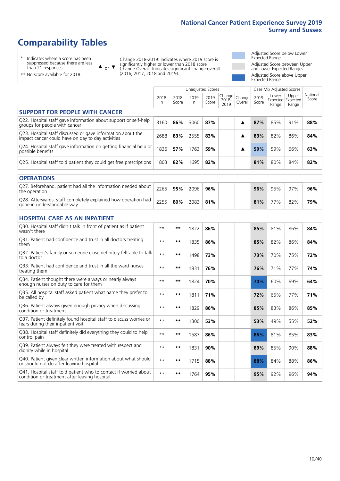## **Comparability Tables**

\* Indicates where a score has been suppressed because there are less than 21 responses.

\*\* No score available for 2018.

 $\triangle$  or  $\nabla$ 

Change 2018-2019: Indicates where 2019 score is significantly higher or lower than 2018 score Change Overall: Indicates significant change overall (2016, 2017, 2018 and 2019).

Adjusted Score below Lower Expected Range Adjusted Score between Upper and Lower Expected Ranges Adjusted Score above Upper Expected Range

|                                                                                                                   | <b>Unadjusted Scores</b> |               |           |               |                         |                   |               | Case Mix Adjusted Scores |                                     |                   |
|-------------------------------------------------------------------------------------------------------------------|--------------------------|---------------|-----------|---------------|-------------------------|-------------------|---------------|--------------------------|-------------------------------------|-------------------|
|                                                                                                                   | 2018<br>n.               | 2018<br>Score | 2019<br>n | 2019<br>Score | Change<br>2018-<br>2019 | Change<br>Overall | 2019<br>Score | Lower<br>Range           | Upper<br>Expected Expected<br>Range | National<br>Score |
| <b>SUPPORT FOR PEOPLE WITH CANCER</b>                                                                             |                          |               |           |               |                         |                   |               |                          |                                     |                   |
| Q22. Hospital staff gave information about support or self-help<br>groups for people with cancer                  | 3160                     | 86%           | 3060      | 87%           |                         | ▲                 | 87%           | 85%                      | 91%                                 | 88%               |
| Q23. Hospital staff discussed or gave information about the<br>impact cancer could have on day to day activities  | 2688                     | 83%           | 2555      | 83%           |                         | ▲                 | 83%           | 82%                      | 86%                                 | 84%               |
| Q24. Hospital staff gave information on getting financial help or<br>possible benefits                            | 1836                     | 57%           | 1763      | 59%           |                         | ▲                 | 59%           | 59%                      | 66%                                 | 63%               |
| Q25. Hospital staff told patient they could get free prescriptions                                                | 1803                     | 82%           | 1695      | 82%           |                         |                   | 81%           | 80%                      | 84%                                 | 82%               |
| <b>OPERATIONS</b>                                                                                                 |                          |               |           |               |                         |                   |               |                          |                                     |                   |
| Q27. Beforehand, patient had all the information needed about<br>the operation                                    | 2265                     | 95%           | 2096      | 96%           |                         |                   | 96%           | 95%                      | 97%                                 | 96%               |
| Q28. Afterwards, staff completely explained how operation had<br>gone in understandable way                       | 2255                     | 80%           | 2083      | 81%           |                         |                   | 81%           | 77%                      | 82%                                 | 79%               |
| <b>HOSPITAL CARE AS AN INPATIENT</b>                                                                              |                          |               |           |               |                         |                   |               |                          |                                     |                   |
| Q30. Hospital staff didn't talk in front of patient as if patient<br>wasn't there                                 | $* *$                    | $***$         | 1822      | 86%           |                         |                   | 85%           | 81%                      | 86%                                 | 84%               |
| Q31. Patient had confidence and trust in all doctors treating<br>them                                             | $\star\star$             | **            | 1835      | 86%           |                         |                   | 85%           | 82%                      | 86%                                 | 84%               |
| Q32. Patient's family or someone close definitely felt able to talk<br>to a doctor                                | $\star\star$             | **            | 1498      | 73%           |                         |                   | 73%           | 70%                      | 75%                                 | 72%               |
| O33. Patient had confidence and trust in all the ward nurses<br>treating them                                     | $***$                    | **            | 1831      | 76%           |                         |                   | 76%           | 71%                      | 77%                                 | 74%               |
| Q34. Patient thought there were always or nearly always<br>enough nurses on duty to care for them                 | $**$                     | **            | 1824      | 70%           |                         |                   | 70%           | 60%                      | 69%                                 | 64%               |
| Q35. All hospital staff asked patient what name they prefer to<br>be called by                                    | $\star\star$             | **            | 1811      | 71%           |                         |                   | 72%           | 65%                      | 77%                                 | 71%               |
| Q36. Patient always given enough privacy when discussing<br>condition or treatment                                | $\star\star$             | $***$         | 1829      | 86%           |                         |                   | 85%           | 83%                      | 86%                                 | 85%               |
| Q37. Patient definitely found hospital staff to discuss worries or<br>fears during their inpatient visit          | $\star\star$             | **            | 1300      | 53%           |                         |                   | 53%           | 49%                      | 55%                                 | 52%               |
| Q38. Hospital staff definitely did everything they could to help<br>control pain                                  | $\star\star$             | **            | 1587      | 86%           |                         |                   | 86%           | 81%                      | 85%                                 | 83%               |
| Q39. Patient always felt they were treated with respect and<br>dignity while in hospital                          | $\star\star$             | **            | 1831      | 90%           |                         |                   | 89%           | 85%                      | 90%                                 | 88%               |
| Q40. Patient given clear written information about what should<br>or should not do after leaving hospital         | $* *$                    | **            | 1715      | 88%           |                         |                   | 88%           | 84%                      | 88%                                 | 86%               |
| Q41. Hospital staff told patient who to contact if worried about<br>condition or treatment after leaving hospital | $**$                     | **            | 1764      | 95%           |                         |                   | 95%           | 92%                      | 96%                                 | 94%               |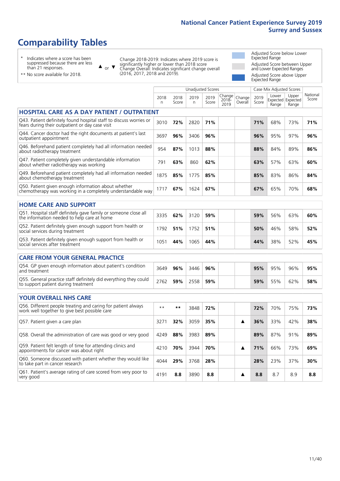## **Comparability Tables**

\* Indicates where a score has been suppressed because there are less than 21 responses.

 $\triangle$  or  $\nabla$ 

Change 2018-2019: Indicates where 2019 score is significantly higher or lower than 2018 score Change Overall: Indicates significant change overall (2016, 2017, 2018 and 2019).

Adjusted Score below Lower Expected Range Adjusted Score between Upper and Lower Expected Ranges Adjusted Score above Upper Expected Range

\*\* No score available for 2018.

|                                                                                                                       |           |               | <b>Unadjusted Scores</b> |               |                         |                   | Case Mix Adjusted Scores |                                     |                |                   |
|-----------------------------------------------------------------------------------------------------------------------|-----------|---------------|--------------------------|---------------|-------------------------|-------------------|--------------------------|-------------------------------------|----------------|-------------------|
|                                                                                                                       | 2018<br>n | 2018<br>Score | 2019<br>n.               | 2019<br>Score | Change<br>2018-<br>2019 | Change<br>Overall | 2019<br>Score            | Lower<br>Expected Expected<br>Range | Upper<br>Range | National<br>Score |
| <b>HOSPITAL CARE AS A DAY PATIENT / OUTPATIENT</b>                                                                    |           |               |                          |               |                         |                   |                          |                                     |                |                   |
| Q43. Patient definitely found hospital staff to discuss worries or<br>fears during their outpatient or day case visit | 3010      | 72%           | 2820                     | 71%           |                         |                   | 71%                      | 68%                                 | 73%            | 71%               |
| Q44. Cancer doctor had the right documents at patient's last<br>outpatient appointment                                | 3697      | 96%           | 3406                     | 96%           |                         |                   | 96%                      | 95%                                 | 97%            | 96%               |
| Q46. Beforehand patient completely had all information needed<br>about radiotherapy treatment                         | 954       | 87%           | 1013                     | 88%           |                         |                   | 88%                      | 84%                                 | 89%            | 86%               |
| Q47. Patient completely given understandable information<br>about whether radiotherapy was working                    | 791       | 63%           | 860                      | 62%           |                         |                   | 63%                      | 57%                                 | 63%            | 60%               |
| Q49. Beforehand patient completely had all information needed<br>about chemotherapy treatment                         | 1875      | 85%           | 1775                     | 85%           |                         |                   | 85%                      | 83%                                 | 86%            | 84%               |
| Q50. Patient given enough information about whether<br>chemotherapy was working in a completely understandable way    | 1717      | 67%           | 1624                     | 67%           |                         |                   | 67%                      | 65%                                 | 70%            | 68%               |
| <b>HOME CARE AND SUPPORT</b>                                                                                          |           |               |                          |               |                         |                   |                          |                                     |                |                   |
| Q51. Hospital staff definitely gave family or someone close all<br>the information needed to help care at home        | 3335      | 62%           | 3120                     | 59%           |                         |                   | 59%                      | 56%                                 | 63%            | 60%               |
| Q52. Patient definitely given enough support from health or<br>social services during treatment                       | 1792      | 51%           | 1752                     | 51%           |                         |                   | 50%                      | 46%                                 | 58%            | 52%               |
| Q53. Patient definitely given enough support from health or<br>social services after treatment                        | 1051      | 44%           | 1065                     | 44%           |                         |                   | 44%                      | 38%                                 | 52%            | 45%               |
| <b>CARE FROM YOUR GENERAL PRACTICE</b>                                                                                |           |               |                          |               |                         |                   |                          |                                     |                |                   |
| Q54. GP given enough information about patient's condition<br>and treatment                                           | 3649      | 96%           | 3446                     | 96%           |                         |                   | 95%                      | 95%                                 | 96%            | 95%               |
| Q55. General practice staff definitely did everything they could<br>to support patient during treatment               | 2762      | 59%           | 2558                     | 59%           |                         |                   | 59%                      | 55%                                 | 62%            | 58%               |
| <b>YOUR OVERALL NHS CARE</b>                                                                                          |           |               |                          |               |                         |                   |                          |                                     |                |                   |
| Q56. Different people treating and caring for patient always                                                          | $* *$     | $***$         |                          |               |                         |                   |                          |                                     |                |                   |
| work well together to give best possible care                                                                         |           |               | 3848                     | 72%           |                         |                   | 72%                      | 70%                                 | 75%            | 73%               |
| Q57. Patient given a care plan                                                                                        | 3271      | 32%           | 3059                     | 35%           |                         | ▲                 | 36%                      | 33%                                 | 42%            | 38%               |
| Q58. Overall the administration of care was good or very good                                                         | 4249      | 88%           | 3983                     | 89%           |                         |                   | 89%                      | 87%                                 | 91%            | 89%               |
| Q59. Patient felt length of time for attending clinics and<br>appointments for cancer was about right                 | 4210      | 70%           | 3944                     | 70%           |                         | ▲                 | 71%                      | 66%                                 | 73%            | 69%               |
| Q60. Someone discussed with patient whether they would like<br>to take part in cancer research                        | 4044      | 29%           | 3768                     | 28%           |                         |                   | 28%                      | 23%                                 | 37%            | 30%               |
| Q61. Patient's average rating of care scored from very poor to<br>very good                                           | 4191      | 8.8           | 3890                     | 8.8           |                         | ▲                 | 8.8                      | 8.7                                 | 8.9            | 8.8               |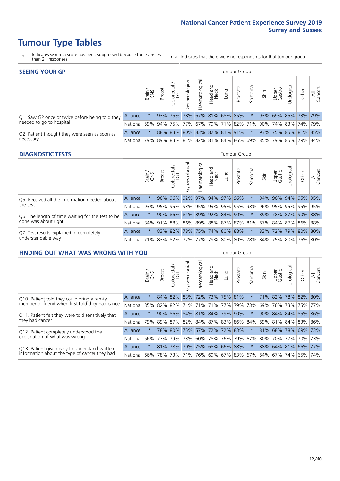- \* Indicates where a score has been suppressed because there are less than 21 responses.
- n.a. Indicates that there were no respondents for that tumour group.

| <b>SEEING YOUR GP</b>                           |                 |               |               |            |                   |                |                  |      | Tumour Group                |         |      |                 |                                                     |       |                |
|-------------------------------------------------|-----------------|---------------|---------------|------------|-------------------|----------------|------------------|------|-----------------------------|---------|------|-----------------|-----------------------------------------------------|-------|----------------|
|                                                 |                 | Brain.<br>CNS | <b>Breast</b> | Colorectal | ত<br>Gynaecologic | Haematological | Head and<br>Neck | Lung | Prostate                    | Sarcoma | Skin | Upper<br>Gastro | $\sigma$<br>Jrologica                               | Other | All<br>Cancers |
| Q1. Saw GP once or twice before being told they | <b>Alliance</b> |               |               | 93% 75%    |                   |                |                  |      | 78% 67% 81% 68% 85%         |         |      |                 | 93% 69% 85% 73% 79%                                 |       |                |
| needed to go to hospital                        | National        | 59%           |               |            |                   |                |                  |      |                             |         |      |                 | 94% 75% 77% 67% 79% 71% 82% 71% 90% 74% 83% 74% 79% |       |                |
| Q2. Patient thought they were seen as soon as   | <b>Alliance</b> |               |               |            |                   |                |                  |      | 88% 83% 80% 83% 82% 81% 91% |         |      |                 | 93% 75% 85% 81% 85%                                 |       |                |
| necessary                                       | National        | 79%           |               |            |                   |                |                  |      |                             |         |      |                 | 89% 83% 81% 82% 81% 84% 86% 69% 85% 79% 85% 79%     |       | 84%            |

#### **DIAGNOSTIC TESTS** Tumour Group

|                                                   |                                                                  | Brain   | <b>Breast</b> | olorectal.<br>LGT       | $\overline{\sigma}$<br>Gynaecologic | Haematological      | Head and<br>Neck | Lung | Prostate | Sarcoma                 | Skin | Upper<br>Gastro | rological           | Other       | All<br>Cancers |
|---------------------------------------------------|------------------------------------------------------------------|---------|---------------|-------------------------|-------------------------------------|---------------------|------------------|------|----------|-------------------------|------|-----------------|---------------------|-------------|----------------|
| Q5. Received all the information needed about     | Alliance                                                         |         | 96%           | 96%                     | 92%                                 |                     | 97% 94% 97% 96%  |      |          |                         | 94%  | 96%             |                     | 94% 95% 95% |                |
| the test                                          | National                                                         | 93%     |               | 95% 95%                 |                                     |                     |                  |      |          | 93% 95% 93% 95% 95% 93% | 96%  | 95%             |                     | 95% 95% 95% |                |
| Q6. The length of time waiting for the test to be | Alliance                                                         | $\star$ | 90%           | 86% 84% 89% 92% 84% 90% |                                     |                     |                  |      |          |                         | 89%  |                 | 78% 87% 90% 88%     |             |                |
| done was about right                              | National 84% 91% 88% 86% 89% 88% 87% 87% 81% 87% 84% 87% 86% 88% |         |               |                         |                                     |                     |                  |      |          |                         |      |                 |                     |             |                |
| Q7. Test results explained in completely          | Alliance                                                         |         |               | 83% 82%                 |                                     | 78% 75% 74% 80% 88% |                  |      |          | $\star$                 |      |                 | 83% 72% 79% 80% 80% |             |                |
| understandable way                                | National 71% 83% 82% 77% 77% 79% 80% 80% 78% 84% 75% 80% 76% 80% |         |               |                         |                                     |                     |                  |      |          |                         |      |                 |                     |             |                |

| <b>FINDING OUT WHAT WAS WRONG WITH YOU</b>        |            |         |               |                             |                                 |                   |                  |                 | <b>Tumour Group</b> |         |                                               |                 |             |                     |                |
|---------------------------------------------------|------------|---------|---------------|-----------------------------|---------------------------------|-------------------|------------------|-----------------|---------------------|---------|-----------------------------------------------|-----------------|-------------|---------------------|----------------|
|                                                   |            | Brain   | <b>Breast</b> | ∼<br>olorectal.<br>LGT<br>Ü | Gynaecological                  | aematologica<br>Ĩ | Head and<br>Neck | Lung            | Prostate            | Sarcoma | Skin                                          | Upper<br>Gastro | Urological  | Other               | All<br>Cancers |
| Q10. Patient told they could bring a family       | Alliance   | $\star$ | 84%           | 82%                         | 83%                             | 72% 73% 75% 81%   |                  |                 |                     | $\ast$  | <b>71%</b>                                    | 82%             | 78%         | 82%                 | 80%            |
| member or friend when first told they had cancer  | National   | 85%     | 82%           | 82%                         | 71%                             | 71%               | 71%              | 77%   79%   73% |                     |         | 69%                                           | 76%             | 73%         | 75%                 | 77%            |
| Q11. Patient felt they were told sensitively that | Alliance   | $\star$ | 90%           |                             | 86% 84% 81% 84% 79% 90%         |                   |                  |                 |                     | $\star$ |                                               | 90% 84%         |             | 84% 85% 86%         |                |
| they had cancer                                   | National   | 79%     |               |                             | 89% 87% 82% 84% 87% 83% 86% 84% |                   |                  |                 |                     |         |                                               |                 |             | 89% 81% 84% 83% 86% |                |
| Q12. Patient completely understood the            | Alliance   | $\star$ | 78%           | 80%                         | 75%                             |                   |                  | 57% 72% 72% 83% |                     |         | 81%                                           | 68%             | 78%         | 69%                 | 173%           |
| explanation of what was wrong                     | National I | 66%     | 77%           | 79%                         | 73%                             | 60%               |                  | 78%   76%   79% |                     | 67%     |                                               |                 | 80% 70% 77% |                     | 70% 73%        |
| Q13. Patient given easy to understand written     | Alliance   | $\star$ | 81%           | 78%                         | 70%                             | 75%               |                  | 68% 66% 88%     |                     | $\star$ |                                               |                 | 88% 64% 81% | 66%                 | 77%            |
| information about the type of cancer they had     | National   | 66%     | 78%           | 73%                         | 71%                             |                   |                  |                 |                     |         | 76%   69%   67%   83%   67%   84%   67%   74% |                 |             | 65%                 | 74%            |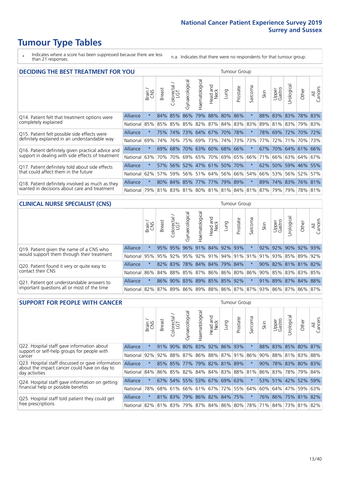- \* Indicates where a score has been suppressed because there are less than 21 responses.
- n.a. Indicates that there were no respondents for that tumour group.

| <b>DECIDING THE BEST TREATMENT FOR YOU</b>         |                 |         |               |                            |                |                |                        |                             | <b>Tumour Group</b> |                                 |                 |                 |                     |             |                |
|----------------------------------------------------|-----------------|---------|---------------|----------------------------|----------------|----------------|------------------------|-----------------------------|---------------------|---------------------------------|-----------------|-----------------|---------------------|-------------|----------------|
|                                                    |                 | Brain   | <b>Breast</b> | olorectal<br>LGT<br>$\cup$ | Gynaecological | Haematological | ad and<br>Neck<br>Head | Lung                        | Prostate            | arcoma<br>vĀ                    | Skin            | Upper<br>Gastro | Jrological          | Other       | All<br>Cancers |
| Q14. Patient felt that treatment options were      | <b>Alliance</b> | $\star$ | 84%           | 85%                        | 86%            | 79%            |                        | 88% 80%                     | 86%                 | $\star$                         | 88%             | 83%             | 83%                 | 78%         | 83%            |
| completely explained                               | National        | 85%     | 85%           | 85%                        | 85% 82%        |                |                        | 87% 84% 83% 83%             |                     |                                 | 89%             | 81%             | 83%                 | 79% 83%     |                |
| Q15. Patient felt possible side effects were       | <b>Alliance</b> | $\star$ | 75%           | 74%                        |                |                | 73% 64% 67%            | 70% 78%                     |                     |                                 | 78%             | 69%             | 72% 70% 72%         |             |                |
| definitely explained in an understandable way      | National        | 69%     | 74%           | 76%                        |                |                | 75% 69% 73%            |                             | 74% 73%             | 73%                             | 77%             | 72%             | 71%                 | 70% 73%     |                |
| Q16. Patient definitely given practical advice and | Alliance        | $\star$ | 69%           | 68%                        |                |                |                        | 70% 63% 60% 68% 66%         |                     | $^\star$                        | 67%             |                 | 70% 64% 61% 66%     |             |                |
| support in dealing with side effects of treatment  | National        | 63%     | 70%           | 70%                        |                |                |                        | 69% 65% 70% 69% 65%         |                     | 66%                             | 71 <sup>%</sup> |                 | 66% 63% 64% 67%     |             |                |
| Q17. Patient definitely told about side effects    | <b>Alliance</b> | $\star$ |               |                            |                |                |                        | 57% 56% 52% 47% 61% 50% 70% |                     | $\ast$                          |                 |                 | 62% 50% 59% 46% 55% |             |                |
| that could affect them in the future               | National        | 62%     | 57%           | 59%                        |                |                |                        | 56% 51% 64% 56% 66%         |                     | 54%                             | 66%             | 53%             |                     | 56% 52%     | 57%            |
| Q18. Patient definitely involved as much as they   | Alliance        | $\star$ |               |                            |                |                |                        | 80% 84% 85% 77% 77% 79% 89% |                     | $\star$                         | 89%             |                 | 74% 83% 76% 81%     |             |                |
| wanted in decisions about care and treatment       | National        | 79%     |               |                            |                |                |                        |                             |                     | 81% 83% 81% 80% 81% 81% 84% 81% | 87%             | 79%             |                     | 79% 78% 81% |                |

### **CLINICAL NURSE SPECIALIST (CNS)** Tumour Group

|                                             |          | Brain<br>CNS | <b>Breast</b>   | Colorectal<br>LGT | Gynaecologic                | ᠊ᢛ<br>Ü<br>aematologi | Head and<br>Neck | Lung | Prostate | Sarcoma | Skin | Upper<br>Gastro | ᅙ<br>Irologica | Other                                                   | All<br>Cancers |
|---------------------------------------------|----------|--------------|-----------------|-------------------|-----------------------------|-----------------------|------------------|------|----------|---------|------|-----------------|----------------|---------------------------------------------------------|----------------|
| Q19. Patient given the name of a CNS who    | Alliance | $\star$      |                 | 95% 95%           | 96%                         |                       | 91% 84% 92% 93%  |      |          |         | 92%  | 92%             |                | 90% 92%                                                 | 93%            |
| would support them through their treatment  | National |              | 95% 95% 92% 95% |                   |                             |                       | 92% 91%          |      |          |         |      |                 |                | 94% 91% 91% 91% 93% 85% 89%                             | 92%            |
| Q20. Patient found it very or quite easy to | Alliance | $\star$      |                 |                   | 82% 83% 78% 84% 84% 79% 84% |                       |                  |      |          | $\star$ |      |                 |                | 90% 82% 81% 81% 82%                                     |                |
| contact their CNS                           | National |              |                 |                   |                             |                       |                  |      |          |         |      |                 |                | 86% 84% 88% 85% 87% 86% 86% 80% 86% 90% 85% 83% 83% 85% |                |
| Q21. Patient got understandable answers to  | Alliance | $\star$      | 86%             | 90%               | 83%                         |                       | 89% 85% 85% 92%  |      |          | $\star$ |      |                 |                | 91% 89% 87% 84% 88%                                     |                |
| important questions all or most of the time | National |              |                 |                   |                             |                       |                  |      |          |         |      |                 |                | 82% 87% 89% 86% 89% 88% 86% 87% 87% 93% 86% 87% 86%     | 87%            |

| <b>SUPPORT FOR PEOPLE WITH CANCER</b>                                                             |                 |         |               |                        |                |                |                        |                             | <b>Tumour Group</b> |         |      |                 |                             |             |                |
|---------------------------------------------------------------------------------------------------|-----------------|---------|---------------|------------------------|----------------|----------------|------------------------|-----------------------------|---------------------|---------|------|-----------------|-----------------------------|-------------|----------------|
|                                                                                                   |                 | Brain   | <b>Breast</b> | olorectal.<br>LGT<br>Ũ | Gynaecological | Haematological | ad and<br>Neck<br>Head | Lung                        | Prostate            | Sarcoma | Skin | Upper<br>Gastro | Jrological                  | Other       | All<br>Cancers |
| Q22. Hospital staff gave information about<br>support or self-help groups for people with         | Alliance        | $\star$ | 91%           | 90%                    | 80%            |                |                        | 83% 92% 86%                 | 93%                 | $\star$ | 88%  |                 | 83% 85% 80% 87%             |             |                |
| cancer                                                                                            | National        | 92%     | 92%           | 88%                    |                |                |                        | 87% 86% 88% 87% 91%         |                     | 86%     | 90%  |                 | 88% 81%                     | 83% 88%     |                |
| Q23. Hospital staff discussed or gave information<br>about the impact cancer could have on day to | <b>Alliance</b> | $\star$ |               | 85% 85%                |                |                |                        | 77% 79% 82% 81% 89%         |                     | $\star$ | 90%  | 78%             |                             | 83% 80% 83% |                |
| day activities                                                                                    | National        | 84%     | 86%           | 85%                    |                |                |                        | 82% 84% 84% 83% 88%         |                     | 81%     | 86%  |                 | 83% 78%                     | 79% 84%     |                |
| Q24. Hospital staff gave information on getting                                                   | <b>Alliance</b> | $\star$ |               |                        |                |                |                        | 67% 54% 55% 53% 67% 69% 63% |                     |         |      |                 | 53% 51% 42% 52% 59%         |             |                |
| financial help or possible benefits                                                               | National        | 78%     | 68%           | 61%                    |                |                |                        | 66% 61% 67% 72% 55%         |                     | 64%     | 60%  |                 | 64% 47%                     | 59% 63%     |                |
| Q25. Hospital staff told patient they could get                                                   | <b>Alliance</b> | $\star$ | 81%           | 83%                    |                |                |                        | 79% 86% 82% 84% 75%         |                     | $\ast$  |      |                 | 76% 86% 75% 81% 82%         |             |                |
| free prescriptions                                                                                | National        | 82%     |               | 81% 83%                |                |                |                        | 79% 87% 84% 86% 80%         |                     | 78%     |      |                 | 71%   84%   73%   81%   82% |             |                |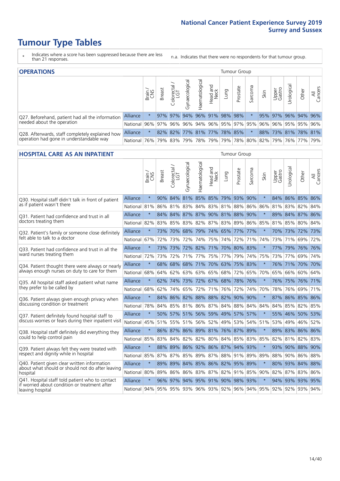- \* Indicates where a score has been suppressed because there are less than 21 responses.
- n.a. Indicates that there were no respondents for that tumour group.

| <b>OPERATIONS</b>                                |                 |               |               |            |                |                |                  |      | Tumour Group                        |         |      |                 |                                                     |       |                |
|--------------------------------------------------|-----------------|---------------|---------------|------------|----------------|----------------|------------------|------|-------------------------------------|---------|------|-----------------|-----------------------------------------------------|-------|----------------|
|                                                  |                 | Brain.<br>CNS | <b>Breast</b> | Colorectal | Gynaecological | Haematological | Head and<br>Neck | Lung | Prostate                            | Sarcoma | Skin | Upper<br>Gastro | σ<br>Jrologica                                      | Other | All<br>Cancers |
| Q27. Beforehand, patient had all the information | <b>Alliance</b> |               |               | 97% 97%    |                |                |                  |      | 94% 96% 91% 98% 98%                 |         |      |                 | 95% 97% 96% 94% 96%                                 |       |                |
| needed about the operation                       | National 96%    |               |               |            |                |                |                  |      | 97% 96% 96% 94% 96% 95% 97% 95% 96% |         |      |                 | 96% 95% 95% 96%                                     |       |                |
| Q28. Afterwards, staff completely explained how  | <b>Alliance</b> |               |               |            |                |                |                  |      | 82% 82% 77% 81% 77% 78% 85%         |         |      |                 | 88% 73% 81% 78% 81%                                 |       |                |
| operation had gone in understandable way         | National 76%    |               |               |            |                |                |                  |      |                                     |         |      |                 | 79% 83% 79% 78% 79% 79% 78% 80% 82% 79% 76% 77% 79% |       |                |

#### **HOSPITAL CARE AS AN INPATIENT** Tumour Group

|                                                                                                  |              | Brain   | Breast | $\overline{\phantom{0}}$<br>Colorectal /<br>LGT | Gynaecological | Haematological                      | Head and<br>Neck | Lung    | Prostate | Sarcoma | Skin    | Upper<br>Gastro | Urological | Other           | All<br>Cancers |
|--------------------------------------------------------------------------------------------------|--------------|---------|--------|-------------------------------------------------|----------------|-------------------------------------|------------------|---------|----------|---------|---------|-----------------|------------|-----------------|----------------|
| Q30. Hospital staff didn't talk in front of patient                                              | Alliance     | $\star$ | $90\%$ |                                                 |                | 84% 81% 85% 85% 79% 93%             |                  |         |          | 90%     | $\star$ |                 |            | 84% 86% 85% 86% |                |
| as if patient wasn't there                                                                       | National     | 81%     | 86%    | 81%                                             | 83%            | 84%                                 | 83%              | 81%     | 88%      | 86%     | 86%     | 81%             | 83%        | 82%             | 84%            |
| Q31. Patient had confidence and trust in all                                                     | Alliance     | $\star$ | 84%    |                                                 |                | 84% 87% 87% 90% 81%                 |                  |         | 88%      | 90%     | $\star$ |                 |            | 89% 84% 87% 86% |                |
| doctors treating them                                                                            | National     | 82%     |        |                                                 |                | 83% 85% 83% 82% 87% 83% 89%         |                  |         |          | 86%     | 85%     |                 |            | 81% 85% 80% 84% |                |
| Q32. Patient's family or someone close definitely                                                | Alliance     | $\star$ | 73%    | 70%                                             | 68%            | 79% 74% 65%                         |                  |         | 77%      | 77%     | $\star$ |                 |            | 70% 73% 72% 73% |                |
| felt able to talk to a doctor                                                                    | National     | 67%     | 72%    | 73%                                             | 72%            | 74%                                 |                  | 75% 74% | 72%      | 71%     | 74%     |                 | 73% 71%    | 69%             | 72%            |
| Q33. Patient had confidence and trust in all the                                                 | Alliance     | $\star$ |        |                                                 |                | 73% 73% 72% 82% 71% 70% 80% 83%     |                  |         |          |         | $\ast$  |                 |            | 77% 79% 76% 76% |                |
| ward nurses treating them                                                                        | National     | 72%     | 73%    | 72%                                             |                | 71% 77%                             |                  | 75% 77% | 79%      | 74%     | 75%     |                 | 73% 77%    | 69% 74%         |                |
| Q34. Patient thought there were always or nearly                                                 | Alliance     | $\star$ | 68%    | 68%                                             | 68%            | 71%                                 |                  | 70% 63% | 75%      | 83%     | $\star$ | 76%             | 71%        | 70%             | 70%            |
| always enough nurses on duty to care for them                                                    | National     | 68%     | 64%    | 62%                                             | 63%            | 63%                                 | 65%              | 68%     | 72%      | 65%     | 70%     | 65%             | 66%        | 60% 64%         |                |
| Q35. All hospital staff asked patient what name                                                  | Alliance     | $\star$ | 62%    |                                                 |                | 74% 73% 72% 67% 68% 78%             |                  |         |          | 76%     |         |                 |            | 76% 75% 76% 71% |                |
| they prefer to be called by                                                                      | National     | 68%     | 62%    | 74%                                             | 65%            | 72%                                 |                  | 71% 76% | 72%      | 74%     | 70%     | 78%             | 76%        | 69% 71%         |                |
| Q36. Patient always given enough privacy when                                                    | Alliance     | $\star$ | 84%    | 86%                                             | 82%            | 88% 88% 82%                         |                  |         | 90%      | 90%     | $\star$ | 87%             |            | 86% 85% 86%     |                |
| discussing condition or treatment                                                                | National     | 78%     |        |                                                 |                | 84% 85% 81% 86% 87% 84%             |                  |         | 88%      | 84%     | 84%     |                 |            | 84% 85% 82% 85% |                |
| Q37. Patient definitely found hospital staff to                                                  | Alliance     | $\star$ |        | 50% 57%                                         |                | 51% 56% 59% 49%                     |                  |         | 57%      | 57%     | $\star$ |                 |            | 55% 46% 50%     | 53%            |
| discuss worries or fears during their inpatient visit                                            | National     | 45%     |        |                                                 |                | 51% 55% 51% 56% 52% 49% 53%         |                  |         |          | 54%     | 51%     |                 |            | 53% 49% 46% 52% |                |
| Q38. Hospital staff definitely did everything they                                               | Alliance     | $\star$ |        |                                                 |                | 86% 87% 86% 89% 81% 76% 87% 89%     |                  |         |          |         | $\star$ |                 |            | 89% 83% 86% 86% |                |
| could to help control pain                                                                       | National     | 85%     | 83%    | 84%                                             | 82%            | 82% 80% 84%                         |                  |         | 85%      | 83%     | 85%     | 82%             |            | 81% 82% 83%     |                |
| Q39. Patient always felt they were treated with                                                  | Alliance     | $\star$ | 88%    | 89%                                             |                | 86% 92% 86% 87%                     |                  |         | 94% 93%  |         |         |                 |            | 93% 90% 88% 90% |                |
| respect and dignity while in hospital                                                            | National     | 85%     | 87%    | 87%                                             |                | 85% 89% 87% 88% 91% 89%             |                  |         |          |         | 89%     | 88%             |            | 90% 86% 88%     |                |
| Q40. Patient given clear written information<br>about what should or should not do after leaving | Alliance     | $\star$ | 89%    | 89%                                             |                | 84% 85% 86% 82% 95%                 |                  |         |          | 89%     | $\star$ |                 |            | 80% 93% 84% 88% |                |
| hospital                                                                                         | National     | 80%     | 89%    | 86%                                             |                | 86% 83% 87% 82%                     |                  |         | 91% 85%  |         | 90%     |                 | 82% 87%    | 83% 86%         |                |
| Q41. Hospital staff told patient who to contact<br>if worried about condition or treatment after | Alliance     | $\star$ | 96%    | 97%                                             |                | 94% 95% 91% 90% 98% 93%             |                  |         |          |         | $\star$ |                 |            | 94% 93% 93% 95% |                |
| leaving hospital                                                                                 | National 94% |         |        |                                                 |                | 95% 95% 93% 96% 93% 92% 96% 94% 95% |                  |         |          |         |         |                 |            | 92% 92% 93% 94% |                |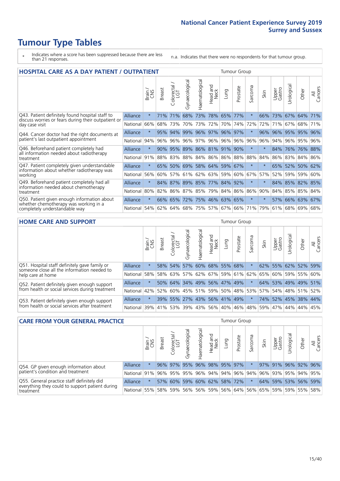- \* Indicates where a score has been suppressed because there are less than 21 responses.
- n.a. Indicates that there were no respondents for that tumour group.

|                                                                                     | <b>HOSPITAL CARE AS A DAY PATIENT / OUTPATIENT</b> |         |               |                 |                |                |                        | Tumour Group    |              |         |         |                 |            |             |                |
|-------------------------------------------------------------------------------------|----------------------------------------------------|---------|---------------|-----------------|----------------|----------------|------------------------|-----------------|--------------|---------|---------|-----------------|------------|-------------|----------------|
|                                                                                     |                                                    | Brain   | <b>Breast</b> | ╮<br>Colorectal | Gynaecological | Haematological | ad and<br>Neck<br>Head | Lung            | Prostate     | Sarcoma | Skin    | Upper<br>Gastro | Jrological | Other       | All<br>Cancers |
| Q43. Patient definitely found hospital staff to                                     | Alliance                                           | $\star$ | 71%           | 71%             | 68%            | 73%            | 78%                    | 65%             | 77%          | $\star$ | 66%     | 73%             | 67%        | 64%         | 71%            |
| discuss worries or fears during their outpatient or<br>day case visit               | National                                           | 66%     | 68%           | 73%             | 70%            | 73%            | 72%                    | 70%             | 74%          | 72%     | 72%     | 71%             | 67%        | 68%         | 71%            |
| Q44. Cancer doctor had the right documents at                                       | Alliance                                           | $\star$ | 95%           | 94%             | 99%            | 96% 97%        |                        | 96% 97%         |              | $\ast$  | 96%     | 96%             | 95%        | 95%         | 96%            |
| patient's last outpatient appointment                                               | National                                           | 94%     | 96%           | 96%             | 96%            | 97%            |                        | 96% 96%         | 96%          | 96%     | 96%     | 94%             | 96%        | 95%         | 96%            |
| Q46. Beforehand patient completely had<br>all information needed about radiotherapy | Alliance                                           | $\star$ | 90%           | 95%             |                |                |                        | 89% 86% 81% 91% | 90%          | $\star$ |         | 84%             | 76%        | 76% 88%     |                |
| treatment                                                                           | National                                           | 91%     | 88%           | 83%             |                | 88% 84%        |                        | 86% 86% 88%     |              | 88%     | 84%     | 86%             | 83%        | 84% 86%     |                |
| Q47. Patient completely given understandable                                        | Alliance                                           | $\star$ | 65%           | 50%             |                | 69% 58% 64%    |                        |                 | 59% 67%      | $\ast$  |         | 65%             | 52%        | 50% 62%     |                |
| information about whether radiotherapy was<br>working                               | National                                           | 56%     | 60%           | 57%             | 61%            | 62%            |                        | 63% 59% 60%     |              | 67%     | 57%     | 52%             | 59%        | 59% 60%     |                |
| Q49. Beforehand patient completely had all                                          | Alliance                                           | $\star$ | 84%           |                 | 87% 89% 85%    |                |                        | 77% 84% 92%     |              | $\ast$  |         |                 | 84% 85%    | 82% 85%     |                |
| information needed about chemotherapy<br>treatment                                  | National                                           | 80%     | 82%           | 86%             | 87%            | 85%            |                        | 79% 84% 86%     |              | 86%     | 90%     | 84%             | 85%        | 85% 84%     |                |
| Q50. Patient given enough information about                                         | <b>Alliance</b>                                    | $\star$ | $66\%$        | 65%             | 72%            |                |                        | 75% 46% 63% 65% |              | $^\ast$ | $\star$ | 57%             |            | 66% 63% 67% |                |
| whether chemotherapy was working in a<br>completely understandable way              | National                                           | 54%     | 62%           |                 | 64% 68% 75%    |                |                        | 57% 67% 66%     |              | 71%     | 79%     | 61%             |            | 68% 69% 68% |                |
| <b>HOME CARE AND SUPPORT</b>                                                        |                                                    |         |               |                 |                |                |                        |                 | Tumour Group |         |         |                 |            |             |                |

| IIVIIL CAIL AILD JUI UII                                                                     |          |              |               |                             |                |                |                  |                         |          |         |         |                 |            |                 |                |
|----------------------------------------------------------------------------------------------|----------|--------------|---------------|-----------------------------|----------------|----------------|------------------|-------------------------|----------|---------|---------|-----------------|------------|-----------------|----------------|
|                                                                                              |          | Brain<br>CNS | <b>Breast</b> | olorectal.<br>LGT<br>$\cup$ | Gynaecological | Haematological | Head and<br>Neck | Lung                    | Prostate | Sarcoma | Skin    | Upper<br>Gastro | Urological | Other           | All<br>Cancers |
| Q51. Hospital staff definitely gave family or<br>someone close all the information needed to | Alliance | $\star$      |               | 58% 54%                     | 57%            |                | 60% 68%          | 55%                     | 68%      |         |         |                 |            | 62% 55% 62% 52% | 59%            |
| help care at home                                                                            | National | 58%          |               | 58% 63%                     | 57%            |                |                  | 62% 67% 59% 61% 62% 65% |          |         |         | 60%             |            | 59% 55%         | 60%            |
| Q52. Patient definitely given enough support                                                 | Alliance | $\star$      |               | 50% 64%                     |                |                |                  | 34% 49% 56% 47% 49%     |          | $\ast$  | 64%     |                 |            | 53% 49% 49%     | 51%            |
| from health or social services during treatment                                              | National | 42%          | 52%           | 60%                         |                | 45% 51%        |                  | 59% 50% 48% 53% 57%     |          |         |         |                 |            | 54% 48% 51%     | 52%            |
| Q53. Patient definitely given enough support                                                 | Alliance | $\star$      |               | 39% 55%                     |                | 27% 43%        |                  | 56% 41% 49%             |          |         | 74%     |                 | 52% 45%    | 38%             | 44%            |
| from health or social services after treatment                                               | National | 39%          |               | 41% 53%                     |                | 39% 43%        |                  | 56% 40% 46%             |          |         | 48% 59% | 47%             | 44%        | 44%             | 45%            |

| <b>CARE FROM YOUR GENERAL PRACTICE</b>                                                        |              |         |               |                   |                   |                 |                  |      | <b>Tumour Group</b>             |         |                     |                     |           |                 |                |
|-----------------------------------------------------------------------------------------------|--------------|---------|---------------|-------------------|-------------------|-----------------|------------------|------|---------------------------------|---------|---------------------|---------------------|-----------|-----------------|----------------|
|                                                                                               |              | Brain   | <b>Breast</b> | Colorectal<br>LGT | ᢛ<br>Gynaecologic | Haematological  | Head and<br>Neck | Lung | Prostate                        | Sarcoma | Skin                | Upper<br>Gastro     | Jrologica | Other           | All<br>Cancers |
| Q54. GP given enough information about                                                        | Alliance     | $\star$ |               | 96% 97% 95%       |                   | 96% 98% 95% 97% |                  |      |                                 |         |                     | 97% 91% 96% 92% 96% |           |                 |                |
| patient's condition and treatment                                                             | National 91% |         |               |                   |                   |                 |                  |      | 96% 95% 95% 96% 94% 94% 96% 94% |         | 96% 93% 95% 94% 95% |                     |           |                 |                |
| Q55. General practice staff definitely did<br>everything they could to support patient during | Alliance     | $\star$ |               | 57% 60%           |                   |                 |                  |      | 59% 60% 62% 58% 72%             | $\star$ |                     | 64% 59% 53% 56% 59% |           |                 |                |
| treatment                                                                                     | National     | 55%     |               | 58% 59%           |                   |                 |                  |      | 56% 56% 59% 56% 64%             |         | 56% 65%             |                     |           | 59% 59% 55% 58% |                |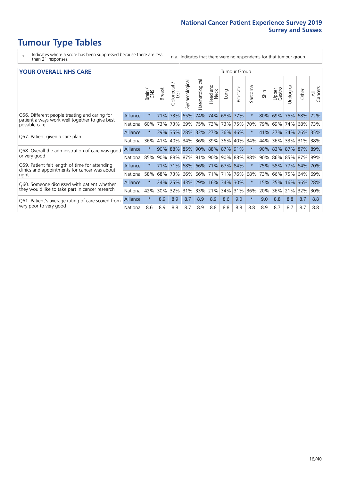- \* Indicates where a score has been suppressed because there are less than 21 responses.
- n.a. Indicates that there were no respondents for that tumour group.

#### **YOUR OVERALL NHS CARE** THE CONSTRUCTION OF THE THROUP GROUP TUMOUR GROUP

| I YUN YENALE BI DIYANE                                                                          |          |         |               |                            |                |                |                             |         | anour oroup |              |      |                 |               |             |                |
|-------------------------------------------------------------------------------------------------|----------|---------|---------------|----------------------------|----------------|----------------|-----------------------------|---------|-------------|--------------|------|-----------------|---------------|-------------|----------------|
|                                                                                                 |          | Brain   | <b>Breast</b> | ╮<br>olorectal<br>LGT<br>Û | Gynaecological | Haematological | ead and<br>Neck<br>Head     | Lung    | Prostate    | arcoma<br>ιñ | Skin | Upper<br>Gastro | ె<br>Urologic | Other       | All<br>Cancers |
| Q56. Different people treating and caring for<br>patient always work well together to give best | Alliance | $\star$ | 71%           | 73%                        | 65%            | 74%            | 74%                         | 68%     | 177%        | $\star$      | 80%  | 69%             | 75%           | 68%         | 72%            |
| possible care                                                                                   | National | 60%     |               | 73% 73%                    | 69%            | 75%            | 73%                         | 73% 75% |             | 70%          | 79%  | 69%             | 74%           | 68%         | 73%            |
| Q57. Patient given a care plan                                                                  | Alliance | $\star$ |               | 39% 35%                    |                |                | 28% 33% 27% 36% 46%         |         |             | $\ast$       | 41%  | 27% 34% 26% 35% |               |             |                |
|                                                                                                 | National | 36%     | 41%           | 40%                        | 34%            | 36%            | 39%                         | 36%     | 40%         | 34%          | 44%  | 36%             | 33%           | 31%         | 38%            |
| Q58. Overall the administration of care was good                                                | Alliance | $\star$ | 90%           | 88%                        | 85% 90%        |                | 88%                         | 87% 91% |             | $\ast$       | 90%  | 83% 87%         |               | 87% 89%     |                |
| or very good                                                                                    | National | 85%     |               | 90% 88%                    |                |                | 87% 91% 90%                 | 90% 88% |             | 88%          | 90%  | 86% 85% 87% 89% |               |             |                |
| Q59. Patient felt length of time for attending<br>clinics and appointments for cancer was about | Alliance | $\star$ |               |                            |                |                | 71% 71% 68% 66% 71% 67% 84% |         |             | $\star$      | 75%  | 58%             |               | 77% 64% 70% |                |
| right                                                                                           | National | 58%     | 68%           | 73%                        | 66%            | 66%            | 71%                         | 71%     | 76%         | 68%          | 73%  | 66%             | 75%           | 64%         | 69%            |
| Q60. Someone discussed with patient whether                                                     | Alliance | $\star$ | 24%           | 25%                        | 43%            | 29%            | 16%                         | 34%     | 30%         | $\ast$       | 15%  | 35%             | 16%           | 36%         | 28%            |
| they would like to take part in cancer research                                                 | National | 42%     | 30%           | 32%                        | 31%            | 33%            | 21%                         | 34%     | 31%         | 36%          | 20%  | 36%             | 21%           | 32%         | 30%            |
| Q61. Patient's average rating of care scored from                                               | Alliance | $\star$ | 8.9           | 8.9                        | 8.7            | 8.9            | 8.9                         | 8.6     | 9.0         | $\star$      | 9.0  | 8.8             | 8.8           | 8.7         | 8.8            |
| very poor to very good                                                                          | National | 8.6     | 8.9           | 8.8                        | 8.7            | 8.9            | 8.8                         | 8.8     | 8.8         | 8.8          | 8.9  | 8.7             | 8.7           | 8.7         | 8.8            |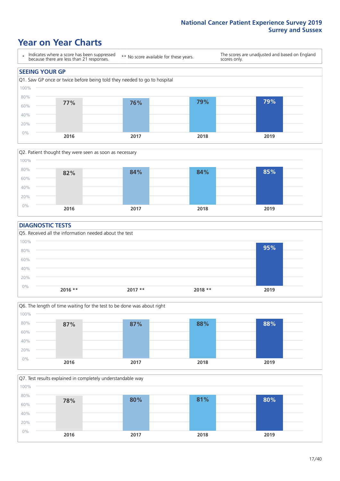### **Year on Year Charts**





#### **DIAGNOSTIC TESTS**





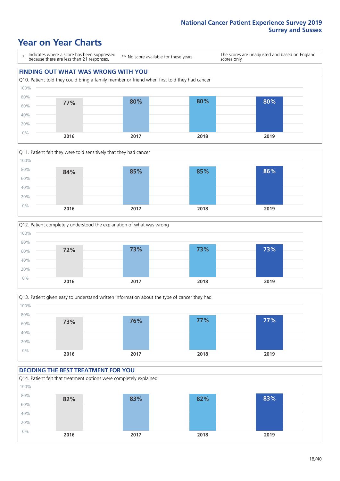### **Year on Year Charts**

\* Indicates where a score has been suppressed because there are less than 21 responses.

\*\* No score available for these years.

The scores are unadjusted and based on England scores only.

### **FINDING OUT WHAT WAS WRONG WITH YOU** Q10. Patient told they could bring a family member or friend when first told they had cancer 0% 20% 40% 60% 80% 100% **2016 2017 2018 2019 77% 80% 80% 80%**







#### **DECIDING THE BEST TREATMENT FOR YOU**

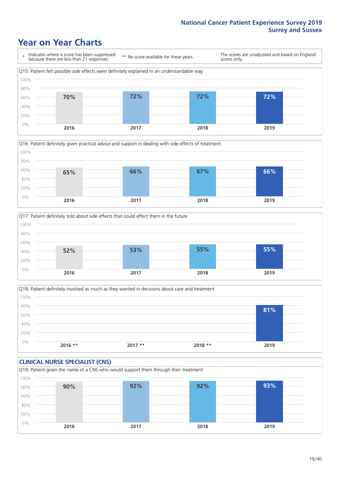### **Year on Year Charts**



![](_page_18_Figure_3.jpeg)

![](_page_18_Figure_4.jpeg)

![](_page_18_Figure_5.jpeg)

![](_page_18_Figure_6.jpeg)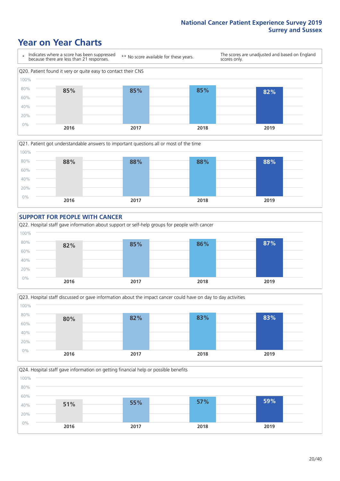### **Year on Year Charts**

![](_page_19_Figure_2.jpeg)

![](_page_19_Figure_3.jpeg)

![](_page_19_Figure_4.jpeg)

![](_page_19_Figure_5.jpeg)

![](_page_19_Figure_6.jpeg)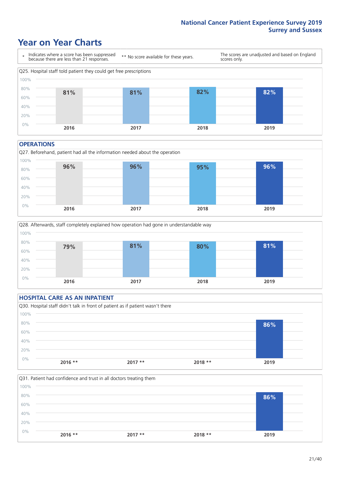### **Year on Year Charts**

![](_page_20_Figure_2.jpeg)

#### **OPERATIONS**

![](_page_20_Figure_4.jpeg)

![](_page_20_Figure_5.jpeg)

### **HOSPITAL CARE AS AN INPATIENT** Q30. Hospital staff didn't talk in front of patient as if patient wasn't there 0% 20% 40% 60% 80% 100% **2016 \*\* 2017 \*\* 2018 \*\* 2019 86%**

![](_page_20_Figure_7.jpeg)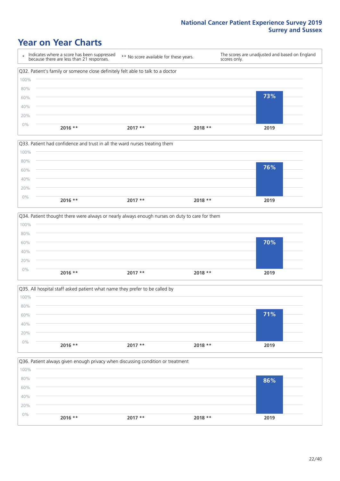### **Year on Year Charts**

|      | Indicates where a score has been suppressed<br>because there are less than 21 responses. | ** No score available for these years. | scores only. | The scores are unadjusted and based on England |
|------|------------------------------------------------------------------------------------------|----------------------------------------|--------------|------------------------------------------------|
|      | Q32. Patient's family or someone close definitely felt able to talk to a doctor          |                                        |              |                                                |
| 100% |                                                                                          |                                        |              |                                                |
| 80%  |                                                                                          |                                        |              |                                                |
| 60%  |                                                                                          |                                        |              | 73%                                            |
| 40%  |                                                                                          |                                        |              |                                                |
| 20%  |                                                                                          |                                        |              |                                                |
| 0%   | $2016$ **                                                                                | $2017**$                               | $2018**$     | 2019                                           |

![](_page_21_Figure_3.jpeg)

![](_page_21_Figure_4.jpeg)

![](_page_21_Figure_5.jpeg)

![](_page_21_Figure_6.jpeg)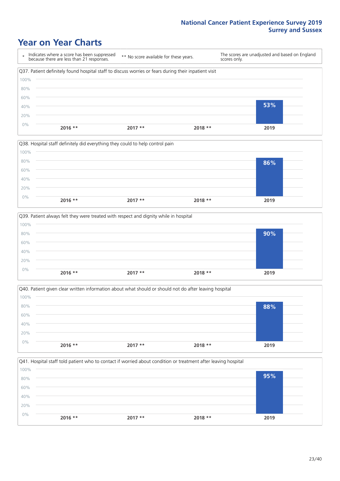## **Year on Year Charts**

|      | Indicates where a score has been suppressed<br>because there are less than 21 responses.              | ** No score available for these years. |          | The scores are unadjusted and based on England<br>scores only. |  |
|------|-------------------------------------------------------------------------------------------------------|----------------------------------------|----------|----------------------------------------------------------------|--|
|      | Q37. Patient definitely found hospital staff to discuss worries or fears during their inpatient visit |                                        |          |                                                                |  |
| 100% |                                                                                                       |                                        |          |                                                                |  |
| 80%  |                                                                                                       |                                        |          |                                                                |  |
| 60%  |                                                                                                       |                                        |          |                                                                |  |
| 40%  |                                                                                                       |                                        |          | 53%                                                            |  |
| 20%  |                                                                                                       |                                        |          |                                                                |  |
| 0%   | $2016$ **                                                                                             | $2017**$                               | $2018**$ |                                                                |  |
|      |                                                                                                       |                                        |          | 2019                                                           |  |

|       |           | Q38. Hospital staff definitely did everything they could to help control pain |          |      |  |
|-------|-----------|-------------------------------------------------------------------------------|----------|------|--|
| 100%  |           |                                                                               |          |      |  |
| 80%   |           |                                                                               |          | 86%  |  |
| 60%   |           |                                                                               |          |      |  |
| 40%   |           |                                                                               |          |      |  |
| 20%   |           |                                                                               |          |      |  |
| $0\%$ |           |                                                                               |          |      |  |
|       | $2016$ ** | $2017**$                                                                      | $2018**$ | 2019 |  |

|       |           | Q39. Patient always felt they were treated with respect and dignity while in hospital |          |      |
|-------|-----------|---------------------------------------------------------------------------------------|----------|------|
| 100%  |           |                                                                                       |          |      |
| 80%   |           |                                                                                       |          | 90%  |
| 60%   |           |                                                                                       |          |      |
| 40%   |           |                                                                                       |          |      |
| 20%   |           |                                                                                       |          |      |
| $0\%$ | $2016$ ** | $2017**$                                                                              | $2018**$ | 2019 |
|       |           |                                                                                       |          |      |

|       |           | $\vert$ Q40. Patient given clear written information about what should or should not do after leaving hospital |          |      |
|-------|-----------|----------------------------------------------------------------------------------------------------------------|----------|------|
| 100%  |           |                                                                                                                |          |      |
| 80%   |           |                                                                                                                |          | 88%  |
| 60%   |           |                                                                                                                |          |      |
| 40%   |           |                                                                                                                |          |      |
| 20%   |           |                                                                                                                |          |      |
| $0\%$ | $2016$ ** | $2017**$                                                                                                       | $2018**$ | 2019 |
|       |           |                                                                                                                |          |      |

|           |          | 95%                                                                                                                        |
|-----------|----------|----------------------------------------------------------------------------------------------------------------------------|
|           |          |                                                                                                                            |
|           |          |                                                                                                                            |
|           |          |                                                                                                                            |
|           |          | 2019                                                                                                                       |
| $2016$ ** | $2017**$ | Q41. Hospital staff told patient who to contact if worried about condition or treatment after leaving hospital<br>$2018**$ |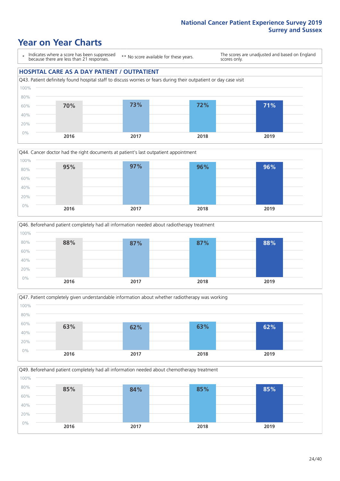### **Year on Year Charts**

\* Indicates where a score has been suppressed because there are less than 21 responses.

\*\* No score available for these years.

The scores are unadjusted and based on England scores only.

#### **HOSPITAL CARE AS A DAY PATIENT / OUTPATIENT**

![](_page_23_Figure_6.jpeg)

![](_page_23_Figure_7.jpeg)

![](_page_23_Figure_8.jpeg)

![](_page_23_Figure_9.jpeg)

![](_page_23_Figure_10.jpeg)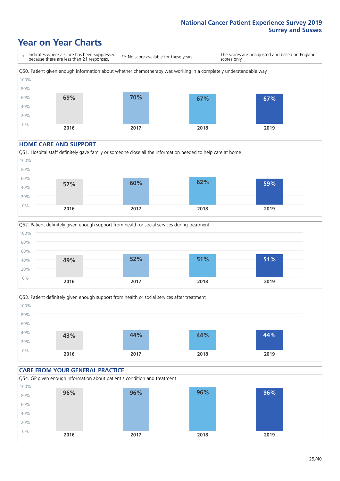### **Year on Year Charts**

\* Indicates where a score has been suppressed because there are less than 21 responses. \*\* No score available for these years. The scores are unadjusted and based on England scores only. Q50. Patient given enough information about whether chemotherapy was working in a completely understandable way 0% 20% 40% 60% 80% 100% **2016 2017 2018 2019 69% 70% 67% 67%**

#### **HOME CARE AND SUPPORT**

![](_page_24_Figure_4.jpeg)

![](_page_24_Figure_5.jpeg)

![](_page_24_Figure_6.jpeg)

![](_page_24_Figure_7.jpeg)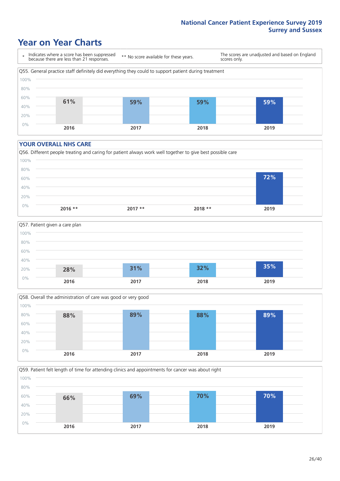### **Year on Year Charts**

\* Indicates where a score has been suppressed because there are less than 21 responses.

\*\* No score available for these years.

The scores are unadjusted and based on England scores only.

![](_page_25_Figure_5.jpeg)

#### **YOUR OVERALL NHS CARE**

![](_page_25_Figure_7.jpeg)

![](_page_25_Figure_8.jpeg)

![](_page_25_Figure_9.jpeg)

Q59. Patient felt length of time for attending clinics and appointments for cancer was about right 0% 20% 40% 60% 80% 100% **2016 2017 2018 2019 66% 69% 70% 70%**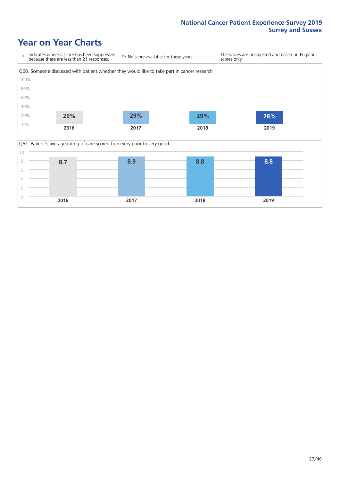### **Year on Year Charts**

![](_page_26_Figure_2.jpeg)

![](_page_26_Figure_3.jpeg)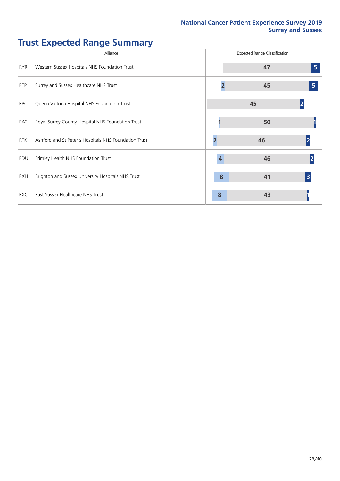## **Trust Expected Range Summary**

|                 | Alliance                                              |   | <b>Expected Range Classification</b> |                         |
|-----------------|-------------------------------------------------------|---|--------------------------------------|-------------------------|
| <b>RYR</b>      | Western Sussex Hospitals NHS Foundation Trust         |   | 47                                   | 5                       |
| <b>RTP</b>      | Surrey and Sussex Healthcare NHS Trust                |   | 45                                   | 5                       |
| <b>RPC</b>      | Queen Victoria Hospital NHS Foundation Trust          |   | 45                                   |                         |
| RA <sub>2</sub> | Royal Surrey County Hospital NHS Foundation Trust     |   | 50                                   |                         |
| <b>RTK</b>      | Ashford and St Peter's Hospitals NHS Foundation Trust |   | 46                                   |                         |
| <b>RDU</b>      | Frimley Health NHS Foundation Trust                   |   | 46                                   |                         |
| <b>RXH</b>      | Brighton and Sussex University Hospitals NHS Trust    | 8 | 41                                   | $\overline{\mathbf{3}}$ |
| <b>RXC</b>      | East Sussex Healthcare NHS Trust                      | 8 | 43                                   |                         |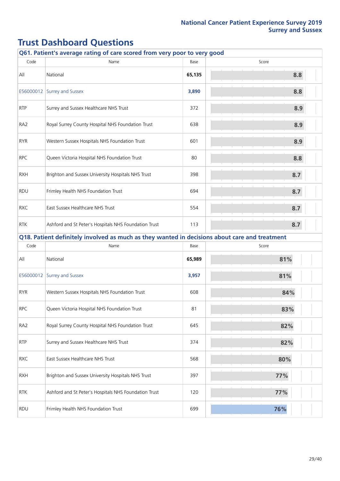|                 | Q61. Patient's average rating of care scored from very poor to very good                      |        |       |
|-----------------|-----------------------------------------------------------------------------------------------|--------|-------|
| Code            | Name                                                                                          | Base   | Score |
| All             | National                                                                                      | 65,135 | 8.8   |
| E56000012       | <b>Surrey and Sussex</b>                                                                      | 3,890  | 8.8   |
| <b>RTP</b>      | Surrey and Sussex Healthcare NHS Trust                                                        | 372    | 8.9   |
| RA <sub>2</sub> | Royal Surrey County Hospital NHS Foundation Trust                                             | 638    | 8.9   |
| <b>RYR</b>      | Western Sussex Hospitals NHS Foundation Trust                                                 | 601    | 8.9   |
| <b>RPC</b>      | Queen Victoria Hospital NHS Foundation Trust                                                  | 80     | 8.8   |
| <b>RXH</b>      | Brighton and Sussex University Hospitals NHS Trust                                            | 398    | 8.7   |
| <b>RDU</b>      | Frimley Health NHS Foundation Trust                                                           | 694    | 8.7   |
| <b>RXC</b>      | East Sussex Healthcare NHS Trust                                                              | 554    | 8.7   |
| <b>RTK</b>      | Ashford and St Peter's Hospitals NHS Foundation Trust                                         | 113    | 8.7   |
|                 | Q18. Patient definitely involved as much as they wanted in decisions about care and treatment |        |       |
| Code            | Name                                                                                          | Base   | Score |
| All             | National                                                                                      | 65,989 | 81%   |
| E56000012       | <b>Surrey and Sussex</b>                                                                      | 3,957  | 81%   |
| <b>RYR</b>      | Western Sussex Hospitals NHS Foundation Trust                                                 | 608    | 84%   |
| <b>RPC</b>      | Queen Victoria Hospital NHS Foundation Trust                                                  | 81     | 83%   |
| RA <sub>2</sub> | Royal Surrey County Hospital NHS Foundation Trust                                             | 645    | 82%   |
| <b>RTP</b>      | Surrey and Sussex Healthcare NHS Trust                                                        | 374    | 82%   |
| <b>RXC</b>      | East Sussex Healthcare NHS Trust                                                              | 568    | 80%   |
| <b>RXH</b>      | Brighton and Sussex University Hospitals NHS Trust                                            | 397    | 77%   |
| <b>RTK</b>      | Ashford and St Peter's Hospitals NHS Foundation Trust                                         | 120    | 77%   |
| <b>RDU</b>      | Frimley Health NHS Foundation Trust                                                           | 699    | 76%   |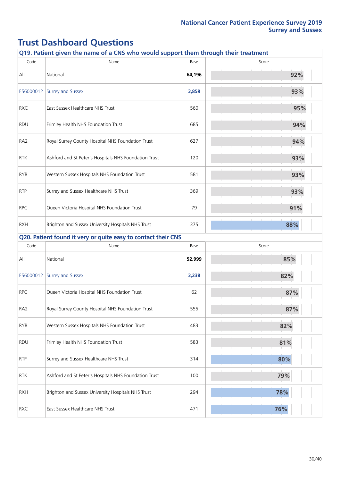|                 | Q19. Patient given the name of a CNS who would support them through their treatment |        |       |
|-----------------|-------------------------------------------------------------------------------------|--------|-------|
| Code            | Name                                                                                | Base   | Score |
| All             | National                                                                            | 64,196 | 92%   |
|                 | E56000012 Surrey and Sussex                                                         | 3,859  | 93%   |
| <b>RXC</b>      | East Sussex Healthcare NHS Trust                                                    | 560    | 95%   |
| <b>RDU</b>      | Frimley Health NHS Foundation Trust                                                 | 685    | 94%   |
| RA <sub>2</sub> | Royal Surrey County Hospital NHS Foundation Trust                                   | 627    | 94%   |
| <b>RTK</b>      | Ashford and St Peter's Hospitals NHS Foundation Trust                               | 120    | 93%   |
| <b>RYR</b>      | Western Sussex Hospitals NHS Foundation Trust                                       | 581    | 93%   |
| <b>RTP</b>      | Surrey and Sussex Healthcare NHS Trust                                              | 369    | 93%   |
| <b>RPC</b>      | Queen Victoria Hospital NHS Foundation Trust                                        | 79     | 91%   |
| <b>RXH</b>      | Brighton and Sussex University Hospitals NHS Trust                                  | 375    | 88%   |
|                 | Q20. Patient found it very or quite easy to contact their CNS                       |        |       |
| Code            | Name                                                                                | Base   | Score |
| All             | National                                                                            | 52,999 | 85%   |
| E56000012       | <b>Surrey and Sussex</b>                                                            | 3,238  | 82%   |
| <b>RPC</b>      | Queen Victoria Hospital NHS Foundation Trust                                        | 62     | 87%   |
| RA <sub>2</sub> | Royal Surrey County Hospital NHS Foundation Trust                                   | 555    | 87%   |
| <b>RYR</b>      | Western Sussex Hospitals NHS Foundation Trust                                       | 483    | 82%   |
| RDU             | Frimley Health NHS Foundation Trust                                                 | 583    | 81%   |
| <b>RTP</b>      | Surrey and Sussex Healthcare NHS Trust                                              | 314    | 80%   |
| <b>RTK</b>      | Ashford and St Peter's Hospitals NHS Foundation Trust                               | 100    | 79%   |
| <b>RXH</b>      | Brighton and Sussex University Hospitals NHS Trust                                  | 294    | 78%   |
| RXC             | East Sussex Healthcare NHS Trust                                                    | 471    | 76%   |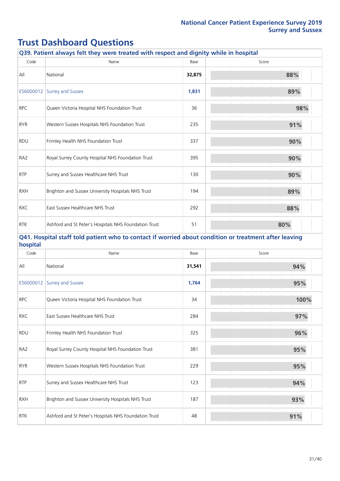|                 | Q39. Patient always felt they were treated with respect and dignity while in hospital                 |        |       |
|-----------------|-------------------------------------------------------------------------------------------------------|--------|-------|
| Code            | Name                                                                                                  | Base   | Score |
| All             | National                                                                                              | 32,875 | 88%   |
|                 | E56000012 Surrey and Sussex                                                                           | 1,831  | 89%   |
| <b>RPC</b>      | Queen Victoria Hospital NHS Foundation Trust                                                          | 36     | 98%   |
| <b>RYR</b>      | Western Sussex Hospitals NHS Foundation Trust                                                         | 235    | 91%   |
| <b>RDU</b>      | Frimley Health NHS Foundation Trust                                                                   | 337    | 90%   |
| RA <sub>2</sub> | Royal Surrey County Hospital NHS Foundation Trust                                                     | 395    | 90%   |
| <b>RTP</b>      | Surrey and Sussex Healthcare NHS Trust                                                                | 130    | 90%   |
| <b>RXH</b>      | Brighton and Sussex University Hospitals NHS Trust                                                    | 194    | 89%   |
| <b>RXC</b>      | East Sussex Healthcare NHS Trust                                                                      | 292    | 88%   |
| <b>RTK</b>      | Ashford and St Peter's Hospitals NHS Foundation Trust                                                 | 51     | 80%   |
| hospital        | Q41. Hospital staff told patient who to contact if worried about condition or treatment after leaving |        |       |
| Code            | Name                                                                                                  | Base   | Score |
| All             | National                                                                                              | 31,541 | 94%   |
| E56000012       | <b>Surrey and Sussex</b>                                                                              | 1,764  | 95%   |
| <b>RPC</b>      | Queen Victoria Hospital NHS Foundation Trust                                                          | 34     | 100%  |
| <b>RXC</b>      | East Sussex Healthcare NHS Trust                                                                      | 284    | 97%   |
| RDU             | Frimley Health NHS Foundation Trust                                                                   | 325    | 96%   |
| RA <sub>2</sub> | Royal Surrey County Hospital NHS Foundation Trust                                                     | 381    | 95%   |
| <b>RYR</b>      | Western Sussex Hospitals NHS Foundation Trust                                                         | 229    | 95%   |
| <b>RTP</b>      | Surrey and Sussex Healthcare NHS Trust                                                                | 123    | 94%   |
| <b>RXH</b>      | Brighton and Sussex University Hospitals NHS Trust                                                    | 187    | 93%   |
| <b>RTK</b>      | Ashford and St Peter's Hospitals NHS Foundation Trust                                                 | 48     | 91%   |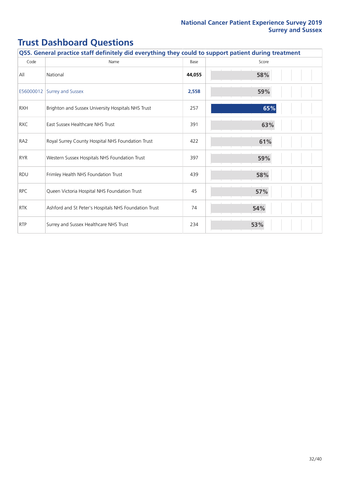| Q55. General practice staff definitely did everything they could to support patient during treatment |                                                       |        |       |  |
|------------------------------------------------------------------------------------------------------|-------------------------------------------------------|--------|-------|--|
| Code                                                                                                 | Name                                                  | Base   | Score |  |
| All                                                                                                  | National                                              | 44,055 | 58%   |  |
| E56000012                                                                                            | <b>Surrey and Sussex</b>                              | 2,558  | 59%   |  |
| <b>RXH</b>                                                                                           | Brighton and Sussex University Hospitals NHS Trust    | 257    | 65%   |  |
| <b>RXC</b>                                                                                           | East Sussex Healthcare NHS Trust                      | 391    | 63%   |  |
| RA <sub>2</sub>                                                                                      | Royal Surrey County Hospital NHS Foundation Trust     | 422    | 61%   |  |
| <b>RYR</b>                                                                                           | Western Sussex Hospitals NHS Foundation Trust         | 397    | 59%   |  |
| <b>RDU</b>                                                                                           | Frimley Health NHS Foundation Trust                   | 439    | 58%   |  |
| <b>RPC</b>                                                                                           | Queen Victoria Hospital NHS Foundation Trust          | 45     | 57%   |  |
| <b>RTK</b>                                                                                           | Ashford and St Peter's Hospitals NHS Foundation Trust | 74     | 54%   |  |
| <b>RTP</b>                                                                                           | Surrey and Sussex Healthcare NHS Trust                | 234    | 53%   |  |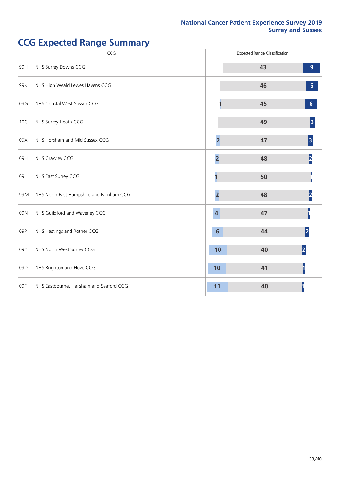## **CCG Expected Range Summary**

|     | CCG                                      |                         | <b>Expected Range Classification</b> |                         |
|-----|------------------------------------------|-------------------------|--------------------------------------|-------------------------|
| 99H | NHS Surrey Downs CCG                     |                         | 43                                   | $\overline{9}$          |
| 99K | NHS High Weald Lewes Havens CCG          |                         | 46                                   | $6\phantom{a}$          |
| 09G | NHS Coastal West Sussex CCG              |                         | 45                                   | $6\phantom{1}$          |
| 10C | NHS Surrey Heath CCG                     |                         | 49                                   | $\overline{\mathbf{3}}$ |
| 09X | NHS Horsham and Mid Sussex CCG           | $\overline{2}$          | 47                                   | 3                       |
| 09H | NHS Crawley CCG                          | $\overline{\mathbf{2}}$ | 48                                   |                         |
| 09L | NHS East Surrey CCG                      |                         | 50                                   |                         |
| 99M | NHS North East Hampshire and Farnham CCG | $\overline{2}$          | 48                                   | 2                       |
| 09N | NHS Guildford and Waverley CCG           | $\boldsymbol{4}$        | 47                                   |                         |
| 09P | NHS Hastings and Rother CCG              | $6\phantom{1}6$         | 44                                   | $\overline{2}$          |
| 09Y | NHS North West Surrey CCG                | 10                      | 40                                   | 2                       |
| 09D | NHS Brighton and Hove CCG                | 10                      | 41                                   |                         |
| 09F | NHS Eastbourne, Hailsham and Seaford CCG | 11                      | 40                                   |                         |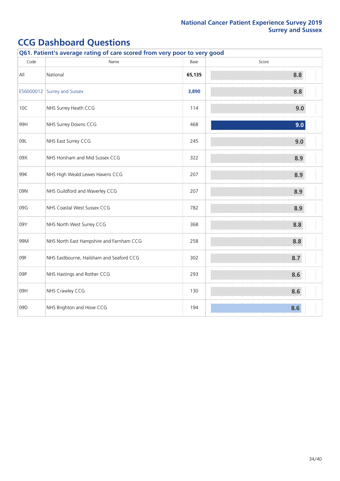|      | Q61. Patient's average rating of care scored from very poor to very good |        |       |  |  |  |
|------|--------------------------------------------------------------------------|--------|-------|--|--|--|
| Code | Name                                                                     | Base   | Score |  |  |  |
| All  | National                                                                 | 65,135 | 8.8   |  |  |  |
|      | E56000012 Surrey and Sussex                                              | 3,890  | 8.8   |  |  |  |
| 10C  | NHS Surrey Heath CCG                                                     | 114    | 9.0   |  |  |  |
| 99H  | NHS Surrey Downs CCG                                                     | 468    | 9.0   |  |  |  |
| 09L  | NHS East Surrey CCG                                                      | 245    | 9.0   |  |  |  |
| 09X  | NHS Horsham and Mid Sussex CCG                                           | 322    | 8.9   |  |  |  |
| 99K  | NHS High Weald Lewes Havens CCG                                          | 207    | 8.9   |  |  |  |
| 09N  | NHS Guildford and Waverley CCG                                           | 207    | 8.9   |  |  |  |
| 09G  | NHS Coastal West Sussex CCG                                              | 782    | 8.9   |  |  |  |
| 09Y  | NHS North West Surrey CCG                                                | 368    | 8.8   |  |  |  |
| 99M  | NHS North East Hampshire and Farnham CCG                                 | 258    | 8.8   |  |  |  |
| 09F  | NHS Eastbourne, Hailsham and Seaford CCG                                 | 302    | 8.7   |  |  |  |
| 09P  | NHS Hastings and Rother CCG                                              | 293    | 8.6   |  |  |  |
| 09H  | NHS Crawley CCG                                                          | 130    | 8.6   |  |  |  |
| 09D  | NHS Brighton and Hove CCG                                                | 194    | 8.6   |  |  |  |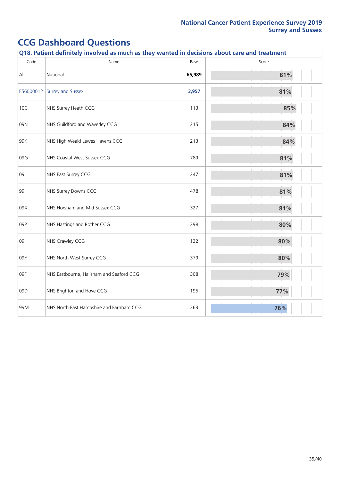|           | Q18. Patient definitely involved as much as they wanted in decisions about care and treatment |        |       |  |  |  |
|-----------|-----------------------------------------------------------------------------------------------|--------|-------|--|--|--|
| Code      | Name                                                                                          | Base   | Score |  |  |  |
| All       | National                                                                                      | 65,989 | 81%   |  |  |  |
| E56000012 | Surrey and Sussex                                                                             | 3,957  | 81%   |  |  |  |
| 10C       | NHS Surrey Heath CCG                                                                          | 113    | 85%   |  |  |  |
| 09N       | NHS Guildford and Waverley CCG                                                                | 215    | 84%   |  |  |  |
| 99K       | NHS High Weald Lewes Havens CCG                                                               | 213    | 84%   |  |  |  |
| 09G       | NHS Coastal West Sussex CCG                                                                   | 789    | 81%   |  |  |  |
| 09L       | NHS East Surrey CCG                                                                           | 247    | 81%   |  |  |  |
| 99H       | NHS Surrey Downs CCG                                                                          | 478    | 81%   |  |  |  |
| 09X       | NHS Horsham and Mid Sussex CCG                                                                | 327    | 81%   |  |  |  |
| 09P       | NHS Hastings and Rother CCG                                                                   | 298    | 80%   |  |  |  |
| 09H       | NHS Crawley CCG                                                                               | 132    | 80%   |  |  |  |
| 09Y       | NHS North West Surrey CCG                                                                     | 379    | 80%   |  |  |  |
| 09F       | NHS Eastbourne, Hailsham and Seaford CCG                                                      | 308    | 79%   |  |  |  |
| 09D       | NHS Brighton and Hove CCG                                                                     | 195    | 77%   |  |  |  |
| 99M       | NHS North East Hampshire and Farnham CCG                                                      | 263    | 76%   |  |  |  |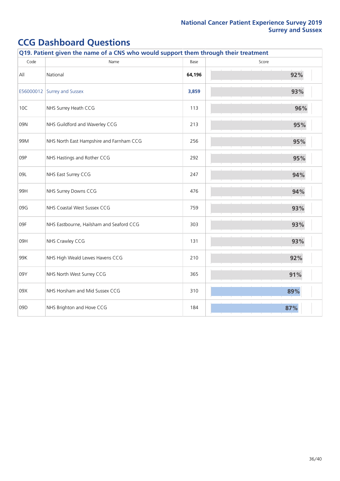|           | Q19. Patient given the name of a CNS who would support them through their treatment |        |       |  |  |  |
|-----------|-------------------------------------------------------------------------------------|--------|-------|--|--|--|
| Code      | Name                                                                                | Base   | Score |  |  |  |
| All       | National                                                                            | 64,196 | 92%   |  |  |  |
| E56000012 | Surrey and Sussex                                                                   | 3,859  | 93%   |  |  |  |
| 10C       | NHS Surrey Heath CCG                                                                | 113    | 96%   |  |  |  |
| 09N       | NHS Guildford and Waverley CCG                                                      | 213    | 95%   |  |  |  |
| 99M       | NHS North East Hampshire and Farnham CCG                                            | 256    | 95%   |  |  |  |
| 09P       | NHS Hastings and Rother CCG                                                         | 292    | 95%   |  |  |  |
| 09L       | NHS East Surrey CCG                                                                 | 247    | 94%   |  |  |  |
| 99H       | NHS Surrey Downs CCG                                                                | 476    | 94%   |  |  |  |
| 09G       | NHS Coastal West Sussex CCG                                                         | 759    | 93%   |  |  |  |
| 09F       | NHS Eastbourne, Hailsham and Seaford CCG                                            | 303    | 93%   |  |  |  |
| 09H       | NHS Crawley CCG                                                                     | 131    | 93%   |  |  |  |
| 99K       | NHS High Weald Lewes Havens CCG                                                     | 210    | 92%   |  |  |  |
| 09Y       | NHS North West Surrey CCG                                                           | 365    | 91%   |  |  |  |
| 09X       | NHS Horsham and Mid Sussex CCG                                                      | 310    | 89%   |  |  |  |
| 09D       | NHS Brighton and Hove CCG                                                           | 184    | 87%   |  |  |  |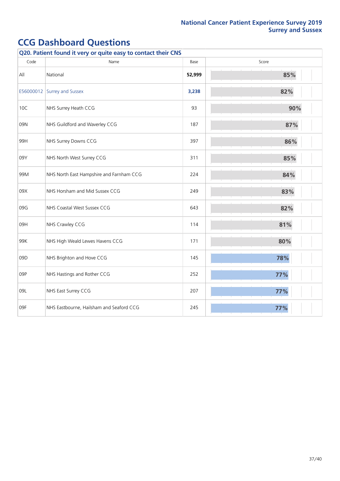|      | Q20. Patient found it very or quite easy to contact their CNS |        |     |  |  |
|------|---------------------------------------------------------------|--------|-----|--|--|
| Code | Name<br>Score<br>Base                                         |        |     |  |  |
| All  | National                                                      | 52,999 | 85% |  |  |
|      | E56000012 Surrey and Sussex                                   | 3,238  | 82% |  |  |
| 10C  | NHS Surrey Heath CCG                                          | 93     | 90% |  |  |
| 09N  | NHS Guildford and Waverley CCG                                | 187    | 87% |  |  |
| 99H  | NHS Surrey Downs CCG                                          | 397    | 86% |  |  |
| 09Y  | NHS North West Surrey CCG                                     | 311    | 85% |  |  |
| 99M  | NHS North East Hampshire and Farnham CCG                      | 224    | 84% |  |  |
| 09X  | NHS Horsham and Mid Sussex CCG                                | 249    | 83% |  |  |
| 09G  | NHS Coastal West Sussex CCG                                   | 643    | 82% |  |  |
| 09H  | NHS Crawley CCG                                               | 114    | 81% |  |  |
| 99K  | NHS High Weald Lewes Havens CCG                               | 171    | 80% |  |  |
| 09D  | NHS Brighton and Hove CCG                                     | 145    | 78% |  |  |
| 09P  | NHS Hastings and Rother CCG                                   | 252    | 77% |  |  |
| 09L  | NHS East Surrey CCG                                           | 207    | 77% |  |  |
| 09F  | NHS Eastbourne, Hailsham and Seaford CCG                      | 245    | 77% |  |  |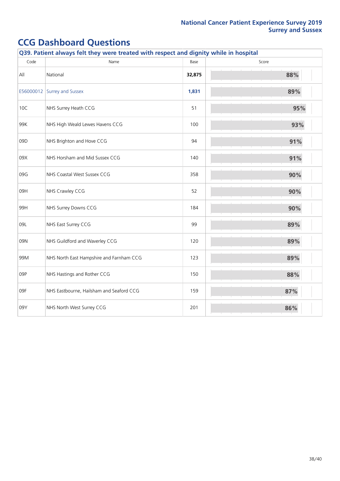|      | Q39. Patient always felt they were treated with respect and dignity while in hospital |        |       |  |  |
|------|---------------------------------------------------------------------------------------|--------|-------|--|--|
| Code | Name                                                                                  | Base   | Score |  |  |
| All  | National                                                                              | 32,875 | 88%   |  |  |
|      | E56000012 Surrey and Sussex                                                           | 1,831  | 89%   |  |  |
| 10C  | NHS Surrey Heath CCG                                                                  | 51     | 95%   |  |  |
| 99K  | NHS High Weald Lewes Havens CCG                                                       | 100    | 93%   |  |  |
| 09D  | NHS Brighton and Hove CCG                                                             | 94     | 91%   |  |  |
| 09X  | NHS Horsham and Mid Sussex CCG                                                        | 140    | 91%   |  |  |
| 09G  | NHS Coastal West Sussex CCG                                                           | 358    | 90%   |  |  |
| 09H  | NHS Crawley CCG                                                                       | 52     | 90%   |  |  |
| 99H  | NHS Surrey Downs CCG                                                                  | 184    | 90%   |  |  |
| 09L  | NHS East Surrey CCG                                                                   | 99     | 89%   |  |  |
| 09N  | NHS Guildford and Waverley CCG                                                        | 120    | 89%   |  |  |
| 99M  | NHS North East Hampshire and Farnham CCG                                              | 123    | 89%   |  |  |
| 09P  | NHS Hastings and Rother CCG                                                           | 150    | 88%   |  |  |
| 09F  | NHS Eastbourne, Hailsham and Seaford CCG                                              | 159    | 87%   |  |  |
| 09Y  | NHS North West Surrey CCG                                                             | 201    | 86%   |  |  |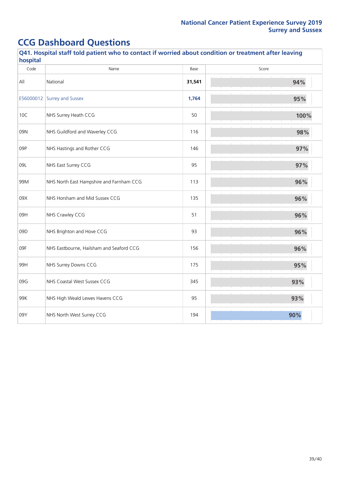| Code | Name                                     | Base   | Score |
|------|------------------------------------------|--------|-------|
| All  | National                                 | 31,541 | 94%   |
|      | E56000012 Surrey and Sussex              | 1,764  | 95%   |
| 10C  | NHS Surrey Heath CCG                     | 50     | 100%  |
| 09N  | NHS Guildford and Waverley CCG           | 116    | 98%   |
| 09P  | NHS Hastings and Rother CCG              | 146    | 97%   |
| 09L  | NHS East Surrey CCG                      | 95     | 97%   |
| 99M  | NHS North East Hampshire and Farnham CCG | 113    | 96%   |
| 09X  | NHS Horsham and Mid Sussex CCG           | 135    | 96%   |
| 09H  | NHS Crawley CCG                          | 51     | 96%   |
| 09D  | NHS Brighton and Hove CCG                | 93     | 96%   |
| 09F  | NHS Eastbourne, Hailsham and Seaford CCG | 156    | 96%   |
| 99H  | NHS Surrey Downs CCG                     | 175    | 95%   |
| 09G  | NHS Coastal West Sussex CCG              | 345    | 93%   |
| 99K  | NHS High Weald Lewes Havens CCG          | 95     | 93%   |
| 09Y  | NHS North West Surrey CCG                | 194    | 90%   |